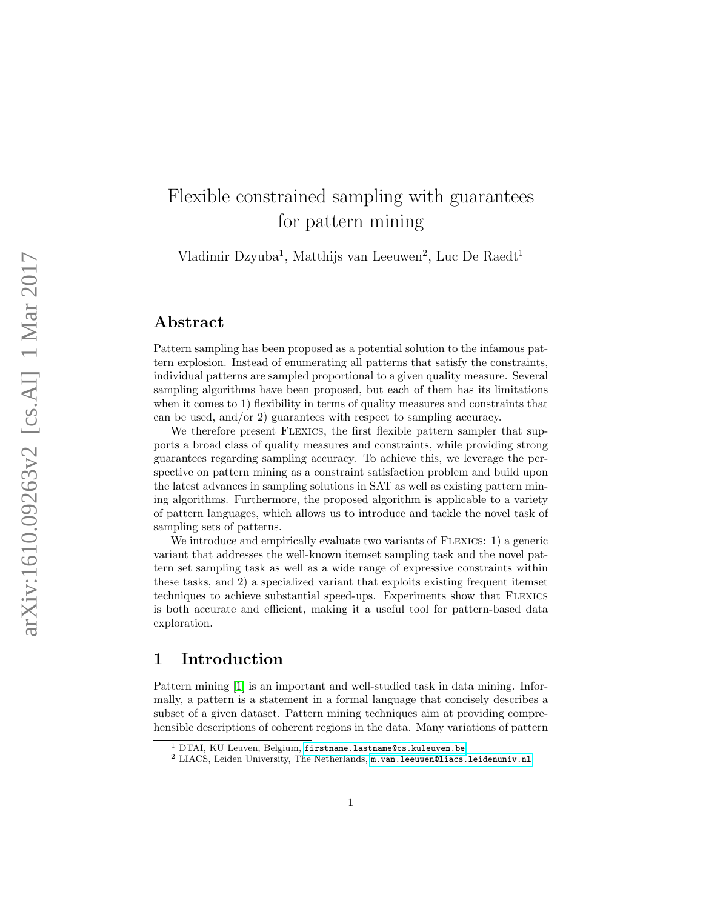# Flexible constrained sampling with guarantees for pattern mining

Vladimir Dzyuba<sup>1</sup>, Matthijs van Leeuwen<sup>2</sup>, Luc De Raedt<sup>1</sup>

### Abstract

Pattern sampling has been proposed as a potential solution to the infamous pattern explosion. Instead of enumerating all patterns that satisfy the constraints, individual patterns are sampled proportional to a given quality measure. Several sampling algorithms have been proposed, but each of them has its limitations when it comes to 1) flexibility in terms of quality measures and constraints that can be used, and/or 2) guarantees with respect to sampling accuracy.

We therefore present FLEXICS, the first flexible pattern sampler that supports a broad class of quality measures and constraints, while providing strong guarantees regarding sampling accuracy. To achieve this, we leverage the perspective on pattern mining as a constraint satisfaction problem and build upon the latest advances in sampling solutions in SAT as well as existing pattern mining algorithms. Furthermore, the proposed algorithm is applicable to a variety of pattern languages, which allows us to introduce and tackle the novel task of sampling sets of patterns.

We introduce and empirically evaluate two variants of FLEXICS: 1) a generic variant that addresses the well-known itemset sampling task and the novel pattern set sampling task as well as a wide range of expressive constraints within these tasks, and 2) a specialized variant that exploits existing frequent itemset techniques to achieve substantial speed-ups. Experiments show that Flexics is both accurate and efficient, making it a useful tool for pattern-based data exploration.

### <span id="page-0-0"></span>1 Introduction

Pattern mining [\[1\]](#page-24-0) is an important and well-studied task in data mining. Informally, a pattern is a statement in a formal language that concisely describes a subset of a given dataset. Pattern mining techniques aim at providing comprehensible descriptions of coherent regions in the data. Many variations of pattern

<sup>&</sup>lt;sup>1</sup> DTAI, KU Leuven, Belgium, [firstname.lastname@cs.kuleuven.be](mailto:vladimir.dzyuba@cs.kuleuven.be,luc.deraedt@cs.kuleuven.be)  $2$  LIACS, Leiden University, The Netherlands, [m.van.leeuwen@liacs.leidenuniv.nl](mailto:m.van.leeuwen@liacs.leidenuniv.nl)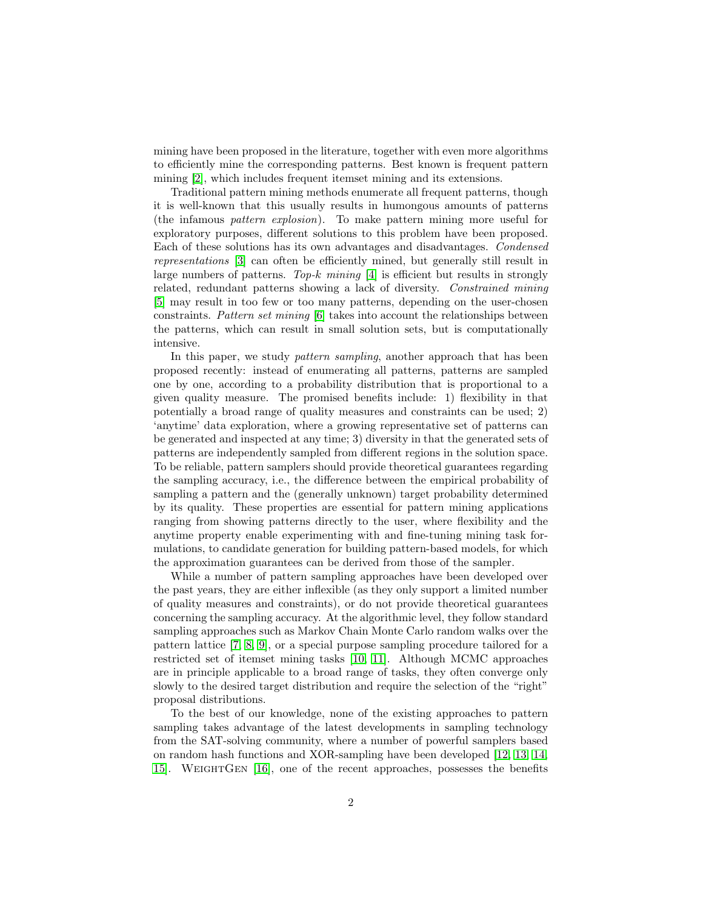mining have been proposed in the literature, together with even more algorithms to efficiently mine the corresponding patterns. Best known is frequent pattern mining [\[2\]](#page-24-1), which includes frequent itemset mining and its extensions.

Traditional pattern mining methods enumerate all frequent patterns, though it is well-known that this usually results in humongous amounts of patterns (the infamous pattern explosion). To make pattern mining more useful for exploratory purposes, different solutions to this problem have been proposed. Each of these solutions has its own advantages and disadvantages. Condensed representations [\[3\]](#page-24-2) can often be efficiently mined, but generally still result in large numbers of patterns. Top-k mining  $[4]$  is efficient but results in strongly related, redundant patterns showing a lack of diversity. Constrained mining [\[5\]](#page-25-0) may result in too few or too many patterns, depending on the user-chosen constraints. Pattern set mining [\[6\]](#page-25-1) takes into account the relationships between the patterns, which can result in small solution sets, but is computationally intensive.

In this paper, we study *pattern sampling*, another approach that has been proposed recently: instead of enumerating all patterns, patterns are sampled one by one, according to a probability distribution that is proportional to a given quality measure. The promised benefits include: 1) flexibility in that potentially a broad range of quality measures and constraints can be used; 2) 'anytime' data exploration, where a growing representative set of patterns can be generated and inspected at any time; 3) diversity in that the generated sets of patterns are independently sampled from different regions in the solution space. To be reliable, pattern samplers should provide theoretical guarantees regarding the sampling accuracy, i.e., the difference between the empirical probability of sampling a pattern and the (generally unknown) target probability determined by its quality. These properties are essential for pattern mining applications ranging from showing patterns directly to the user, where flexibility and the anytime property enable experimenting with and fine-tuning mining task formulations, to candidate generation for building pattern-based models, for which the approximation guarantees can be derived from those of the sampler.

While a number of pattern sampling approaches have been developed over the past years, they are either inflexible (as they only support a limited number of quality measures and constraints), or do not provide theoretical guarantees concerning the sampling accuracy. At the algorithmic level, they follow standard sampling approaches such as Markov Chain Monte Carlo random walks over the pattern lattice [\[7,](#page-25-2) [8,](#page-25-3) [9\]](#page-25-4), or a special purpose sampling procedure tailored for a restricted set of itemset mining tasks [\[10,](#page-25-5) [11\]](#page-25-6). Although MCMC approaches are in principle applicable to a broad range of tasks, they often converge only slowly to the desired target distribution and require the selection of the "right" proposal distributions.

To the best of our knowledge, none of the existing approaches to pattern sampling takes advantage of the latest developments in sampling technology from the SAT-solving community, where a number of powerful samplers based on random hash functions and XOR-sampling have been developed [\[12,](#page-25-7) [13,](#page-25-8) [14,](#page-25-9) [15\]](#page-25-10). WeightGen [\[16\]](#page-26-0), one of the recent approaches, possesses the benefits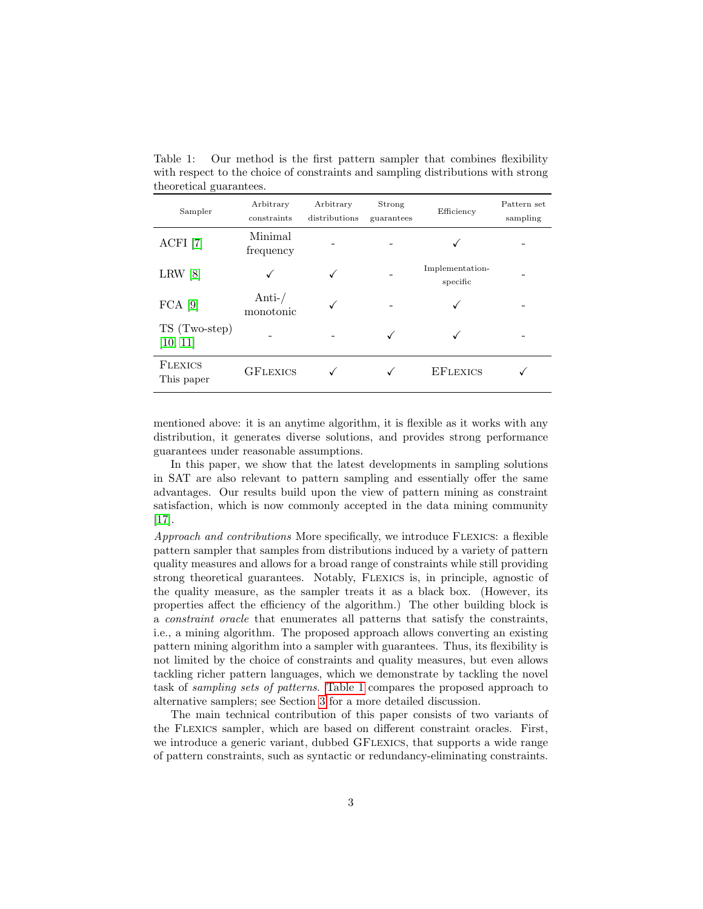<span id="page-2-0"></span>Table 1: Our method is the first pattern sampler that combines flexibility with respect to the choice of constraints and sampling distributions with strong theoretical guarantees.

| Sampler                      | Arbitrary<br>constraints | Arbitrary<br>distributions | Strong<br>guarantees | Efficiency                  | Pattern set<br>sampling |
|------------------------------|--------------------------|----------------------------|----------------------|-----------------------------|-------------------------|
| ACFI [7]                     | Minimal<br>frequency     |                            |                      |                             |                         |
| LRW[8]                       |                          |                            |                      | Implementation-<br>specific |                         |
| $FCA$ [9]                    | Anti- $/$<br>monotonic   |                            |                      |                             |                         |
| TS (Two-step)<br>[10, 11]    |                          |                            |                      |                             |                         |
| <b>FLEXICS</b><br>This paper | <b>GFLEXICS</b>          |                            |                      | <b>EFLEXICS</b>             |                         |

mentioned above: it is an anytime algorithm, it is flexible as it works with any distribution, it generates diverse solutions, and provides strong performance guarantees under reasonable assumptions.

In this paper, we show that the latest developments in sampling solutions in SAT are also relevant to pattern sampling and essentially offer the same advantages. Our results build upon the view of pattern mining as constraint satisfaction, which is now commonly accepted in the data mining community [\[17\]](#page-26-1).

Approach and contributions More specifically, we introduce FLEXICS: a flexible pattern sampler that samples from distributions induced by a variety of pattern quality measures and allows for a broad range of constraints while still providing strong theoretical guarantees. Notably, Flexics is, in principle, agnostic of the quality measure, as the sampler treats it as a black box. (However, its properties affect the efficiency of the algorithm.) The other building block is a constraint oracle that enumerates all patterns that satisfy the constraints, i.e., a mining algorithm. The proposed approach allows converting an existing pattern mining algorithm into a sampler with guarantees. Thus, its flexibility is not limited by the choice of constraints and quality measures, but even allows tackling richer pattern languages, which we demonstrate by tackling the novel task of sampling sets of patterns. [Table 1](#page-2-0) compares the proposed approach to alternative samplers; see Section [3](#page-4-0) for a more detailed discussion.

The main technical contribution of this paper consists of two variants of the Flexics sampler, which are based on different constraint oracles. First, we introduce a generic variant, dubbed GFLEXICS, that supports a wide range of pattern constraints, such as syntactic or redundancy-eliminating constraints.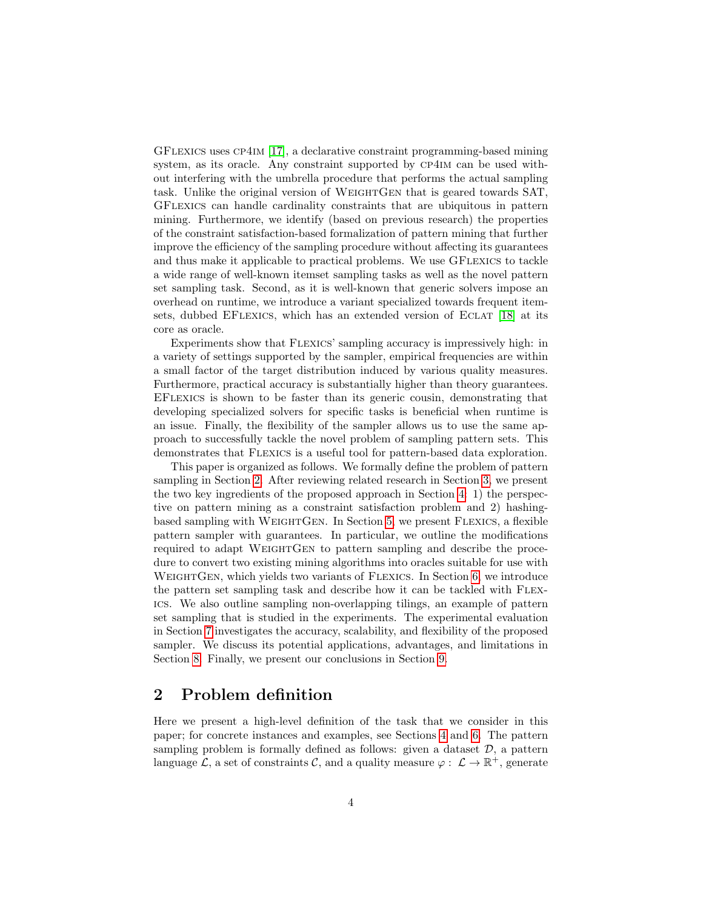GFlexics uses cp4im [\[17\]](#page-26-1), a declarative constraint programming-based mining system, as its oracle. Any constraint supported by cp4im can be used without interfering with the umbrella procedure that performs the actual sampling task. Unlike the original version of WeightGen that is geared towards SAT, GFlexics can handle cardinality constraints that are ubiquitous in pattern mining. Furthermore, we identify (based on previous research) the properties of the constraint satisfaction-based formalization of pattern mining that further improve the efficiency of the sampling procedure without affecting its guarantees and thus make it applicable to practical problems. We use GFLEXICS to tackle a wide range of well-known itemset sampling tasks as well as the novel pattern set sampling task. Second, as it is well-known that generic solvers impose an overhead on runtime, we introduce a variant specialized towards frequent item-sets, dubbed EFLEXICS, which has an extended version of ECLAT [\[18\]](#page-26-2) at its core as oracle.

Experiments show that Flexics' sampling accuracy is impressively high: in a variety of settings supported by the sampler, empirical frequencies are within a small factor of the target distribution induced by various quality measures. Furthermore, practical accuracy is substantially higher than theory guarantees. EFlexics is shown to be faster than its generic cousin, demonstrating that developing specialized solvers for specific tasks is beneficial when runtime is an issue. Finally, the flexibility of the sampler allows us to use the same approach to successfully tackle the novel problem of sampling pattern sets. This demonstrates that Flexics is a useful tool for pattern-based data exploration.

This paper is organized as follows. We formally define the problem of pattern sampling in Section [2.](#page-3-0) After reviewing related research in Section [3,](#page-4-0) we present the two key ingredients of the proposed approach in Section [4:](#page-5-0) 1) the perspective on pattern mining as a constraint satisfaction problem and 2) hashingbased sampling with WeightGen. In Section [5,](#page-8-0) we present Flexics, a flexible pattern sampler with guarantees. In particular, we outline the modifications required to adapt WEIGHTGEN to pattern sampling and describe the procedure to convert two existing mining algorithms into oracles suitable for use with WEIGHTGEN, which yields two variants of FLEXICS. In Section [6,](#page-12-0) we introduce the pattern set sampling task and describe how it can be tackled with Flexics. We also outline sampling non-overlapping tilings, an example of pattern set sampling that is studied in the experiments. The experimental evaluation in Section [7](#page-13-0) investigates the accuracy, scalability, and flexibility of the proposed sampler. We discuss its potential applications, advantages, and limitations in Section [8.](#page-21-0) Finally, we present our conclusions in Section [9.](#page-24-4)

### <span id="page-3-0"></span>2 Problem definition

Here we present a high-level definition of the task that we consider in this paper; for concrete instances and examples, see Sections [4](#page-5-0) and [6.](#page-12-0) The pattern sampling problem is formally defined as follows: given a dataset  $\mathcal{D}$ , a pattern language  $\mathcal{L}$ , a set of constraints  $\mathcal{C}$ , and a quality measure  $\varphi: \mathcal{L} \to \mathbb{R}^+$ , generate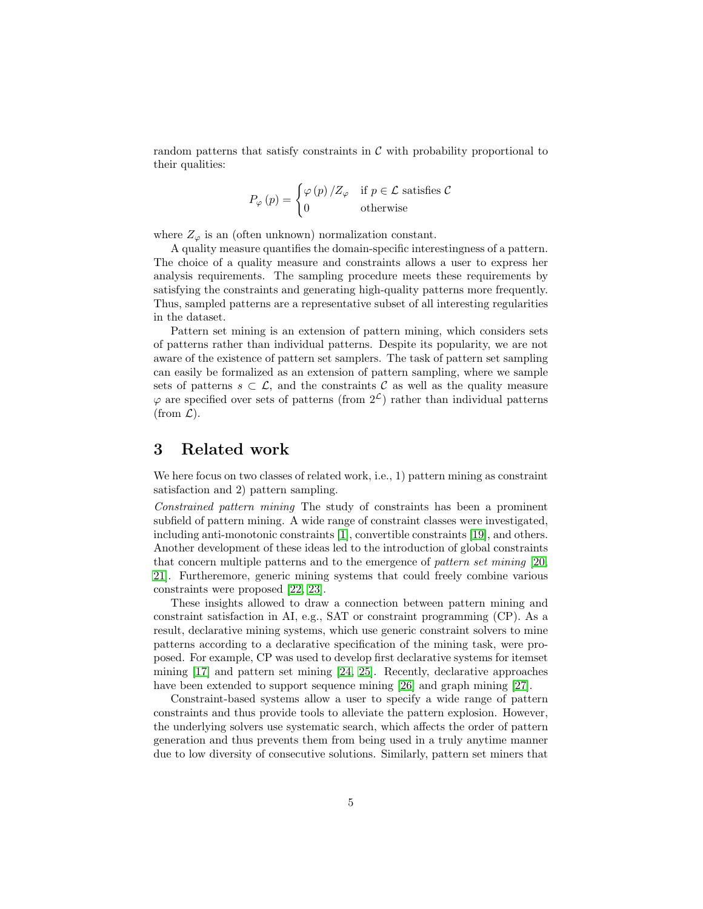random patterns that satisfy constraints in  $\mathcal C$  with probability proportional to their qualities:

$$
P_{\varphi}(p) = \begin{cases} \varphi(p)/Z_{\varphi} & \text{if } p \in \mathcal{L} \text{ satisfies } \mathcal{C} \\ 0 & \text{otherwise} \end{cases}
$$

where  $Z_{\varphi}$  is an (often unknown) normalization constant.

A quality measure quantifies the domain-specific interestingness of a pattern. The choice of a quality measure and constraints allows a user to express her analysis requirements. The sampling procedure meets these requirements by satisfying the constraints and generating high-quality patterns more frequently. Thus, sampled patterns are a representative subset of all interesting regularities in the dataset.

Pattern set mining is an extension of pattern mining, which considers sets of patterns rather than individual patterns. Despite its popularity, we are not aware of the existence of pattern set samplers. The task of pattern set sampling can easily be formalized as an extension of pattern sampling, where we sample sets of patterns  $s \subset \mathcal{L}$ , and the constraints  $\mathcal{C}$  as well as the quality measure  $\varphi$  are specified over sets of patterns (from  $2^{\mathcal{L}}$ ) rather than individual patterns (from  $\mathcal{L}$ ).

### <span id="page-4-0"></span>3 Related work

We here focus on two classes of related work, i.e., 1) pattern mining as constraint satisfaction and 2) pattern sampling.

Constrained pattern mining The study of constraints has been a prominent subfield of pattern mining. A wide range of constraint classes were investigated, including anti-monotonic constraints [\[1\]](#page-24-0), convertible constraints [\[19\]](#page-26-3), and others. Another development of these ideas led to the introduction of global constraints that concern multiple patterns and to the emergence of pattern set mining [\[20,](#page-26-4) [21\]](#page-26-5). Furtheremore, generic mining systems that could freely combine various constraints were proposed [\[22,](#page-26-6) [23\]](#page-26-7).

These insights allowed to draw a connection between pattern mining and constraint satisfaction in AI, e.g., SAT or constraint programming (CP). As a result, declarative mining systems, which use generic constraint solvers to mine patterns according to a declarative specification of the mining task, were proposed. For example, CP was used to develop first declarative systems for itemset mining [\[17\]](#page-26-1) and pattern set mining [\[24,](#page-26-8) [25\]](#page-26-9). Recently, declarative approaches have been extended to support sequence mining [\[26\]](#page-26-10) and graph mining [\[27\]](#page-27-0).

Constraint-based systems allow a user to specify a wide range of pattern constraints and thus provide tools to alleviate the pattern explosion. However, the underlying solvers use systematic search, which affects the order of pattern generation and thus prevents them from being used in a truly anytime manner due to low diversity of consecutive solutions. Similarly, pattern set miners that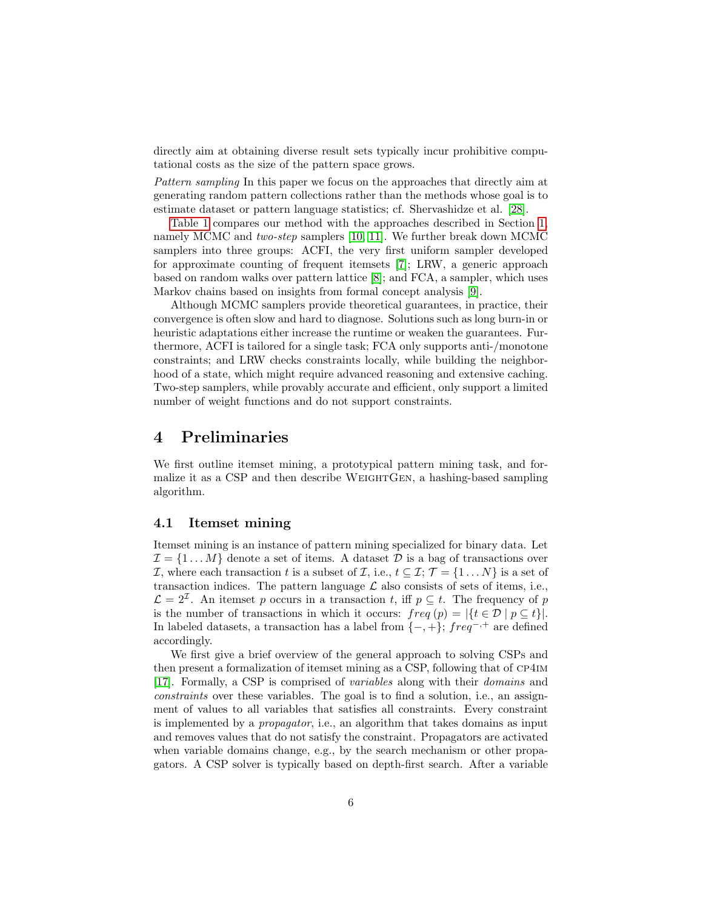directly aim at obtaining diverse result sets typically incur prohibitive computational costs as the size of the pattern space grows.

Pattern sampling In this paper we focus on the approaches that directly aim at generating random pattern collections rather than the methods whose goal is to estimate dataset or pattern language statistics; cf. Shervashidze et al. [\[28\]](#page-27-1).

[Table 1](#page-2-0) compares our method with the approaches described in Section [1,](#page-0-0) namely MCMC and two-step samplers [\[10,](#page-25-5) [11\]](#page-25-6). We further break down MCMC samplers into three groups: ACFI, the very first uniform sampler developed for approximate counting of frequent itemsets [\[7\]](#page-25-2); LRW, a generic approach based on random walks over pattern lattice [\[8\]](#page-25-3); and FCA, a sampler, which uses Markov chains based on insights from formal concept analysis [\[9\]](#page-25-4).

Although MCMC samplers provide theoretical guarantees, in practice, their convergence is often slow and hard to diagnose. Solutions such as long burn-in or heuristic adaptations either increase the runtime or weaken the guarantees. Furthermore, ACFI is tailored for a single task; FCA only supports anti-/monotone constraints; and LRW checks constraints locally, while building the neighborhood of a state, which might require advanced reasoning and extensive caching. Two-step samplers, while provably accurate and efficient, only support a limited number of weight functions and do not support constraints.

### <span id="page-5-0"></span>4 Preliminaries

We first outline itemset mining, a prototypical pattern mining task, and formalize it as a CSP and then describe WeightGen, a hashing-based sampling algorithm.

#### 4.1 Itemset mining

Itemset mining is an instance of pattern mining specialized for binary data. Let  $\mathcal{I} = \{1 \dots M\}$  denote a set of items. A dataset  $\mathcal{D}$  is a bag of transactions over *I*, where each transaction t is a subset of *I*, i.e.,  $t \subseteq I$ ;  $\mathcal{T} = \{1 \dots N\}$  is a set of transaction indices. The pattern language  $\mathcal L$  also consists of sets of items, i.e.,  $\mathcal{L} = 2^{\mathcal{I}}$ . An itemset p occurs in a transaction t, iff  $p \subseteq t$ . The frequency of p is the number of transactions in which it occurs:  $freq(p) = |\{t \in \mathcal{D} \mid p \subseteq t\}|.$ In labeled datasets, a transaction has a label from  $\{-, +\}$ ; freq<sup>-,+</sup> are defined accordingly.

We first give a brief overview of the general approach to solving CSPs and then present a formalization of itemset mining as a CSP, following that of cp4im [\[17\]](#page-26-1). Formally, a CSP is comprised of variables along with their domains and constraints over these variables. The goal is to find a solution, i.e., an assignment of values to all variables that satisfies all constraints. Every constraint is implemented by a propagator, i.e., an algorithm that takes domains as input and removes values that do not satisfy the constraint. Propagators are activated when variable domains change, e.g., by the search mechanism or other propagators. A CSP solver is typically based on depth-first search. After a variable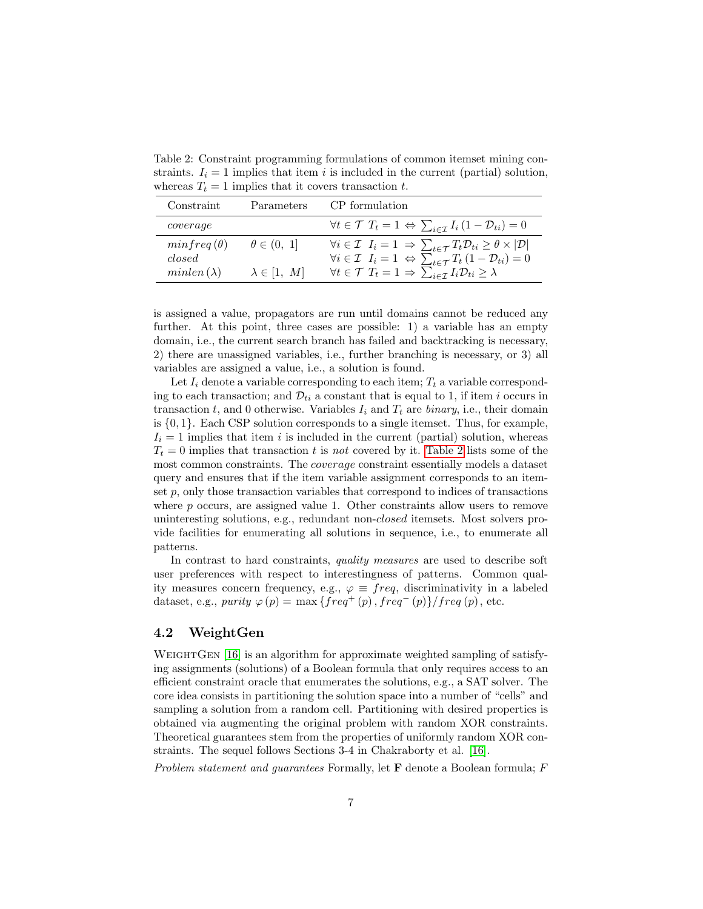<span id="page-6-0"></span>Table 2: Constraint programming formulations of common itemset mining constraints.  $I_i = 1$  implies that item i is included in the current (partial) solution, whereas  $T_t = 1$  implies that it covers transaction t.

| Constraint                  | Parameters           | CP formulation                                                                                                                                                                                                                                        |
|-----------------------------|----------------------|-------------------------------------------------------------------------------------------------------------------------------------------------------------------------------------------------------------------------------------------------------|
| coverage                    |                      | $\forall t \in \mathcal{T} \ T_t = 1 \Leftrightarrow \sum_{i \in \mathcal{T}} I_i (1 - \mathcal{D}_{ti}) = 0$                                                                                                                                         |
| $minfreq(\theta)$<br>closed | $\theta \in (0, 1]$  | $\forall i \in \mathcal{I} \ \ I_i = 1 \ \Rightarrow \sum_{t \in \mathcal{T}} T_t \mathcal{D}_{ti} \geq \theta \times  \mathcal{D} $<br>$\forall i \in \mathcal{I}$ $I_i = 1 \Leftrightarrow \sum_{t \in \mathcal{T}} T_t (1 - \mathcal{D}_{ti}) = 0$ |
| $minlen(\lambda)$           | $\lambda \in [1, M]$ | $\forall t \in \mathcal{T} \ T_t = 1 \Rightarrow \sum_{i \in \mathcal{T}} I_i \mathcal{D}_{ti} \geq \lambda$                                                                                                                                          |

is assigned a value, propagators are run until domains cannot be reduced any further. At this point, three cases are possible: 1) a variable has an empty domain, i.e., the current search branch has failed and backtracking is necessary, 2) there are unassigned variables, i.e., further branching is necessary, or 3) all variables are assigned a value, i.e., a solution is found.

Let  $I_i$  denote a variable corresponding to each item;  $T_t$  a variable corresponding to each transaction; and  $\mathcal{D}_{ti}$  a constant that is equal to 1, if item i occurs in transaction t, and 0 otherwise. Variables  $I_i$  and  $T_t$  are binary, i.e., their domain is  $\{0, 1\}$ . Each CSP solution corresponds to a single itemset. Thus, for example,  $I_i = 1$  implies that item i is included in the current (partial) solution, whereas  $T_t = 0$  implies that transaction t is not covered by it. [Table 2](#page-6-0) lists some of the most common constraints. The coverage constraint essentially models a dataset query and ensures that if the item variable assignment corresponds to an itemset  $p$ , only those transaction variables that correspond to indices of transactions where p occurs, are assigned value 1. Other constraints allow users to remove uninteresting solutions, e.g., redundant non-closed itemsets. Most solvers provide facilities for enumerating all solutions in sequence, i.e., to enumerate all patterns.

In contrast to hard constraints, quality measures are used to describe soft user preferences with respect to interestingness of patterns. Common quality measures concern frequency, e.g.,  $\varphi \equiv freq$ , discriminativity in a labeled dataset, e.g., purity  $\varphi(p) = \max \{ freq^+(p), freq^-(p) \} / freq(p),$  etc.

#### 4.2 WeightGen

WEIGHTGEN  $[16]$  is an algorithm for approximate weighted sampling of satisfying assignments (solutions) of a Boolean formula that only requires access to an efficient constraint oracle that enumerates the solutions, e.g., a SAT solver. The core idea consists in partitioning the solution space into a number of "cells" and sampling a solution from a random cell. Partitioning with desired properties is obtained via augmenting the original problem with random XOR constraints. Theoretical guarantees stem from the properties of uniformly random XOR constraints. The sequel follows Sections 3-4 in Chakraborty et al. [\[16\]](#page-26-0).

Problem statement and guarantees Formally, let  $\bf{F}$  denote a Boolean formula;  $F$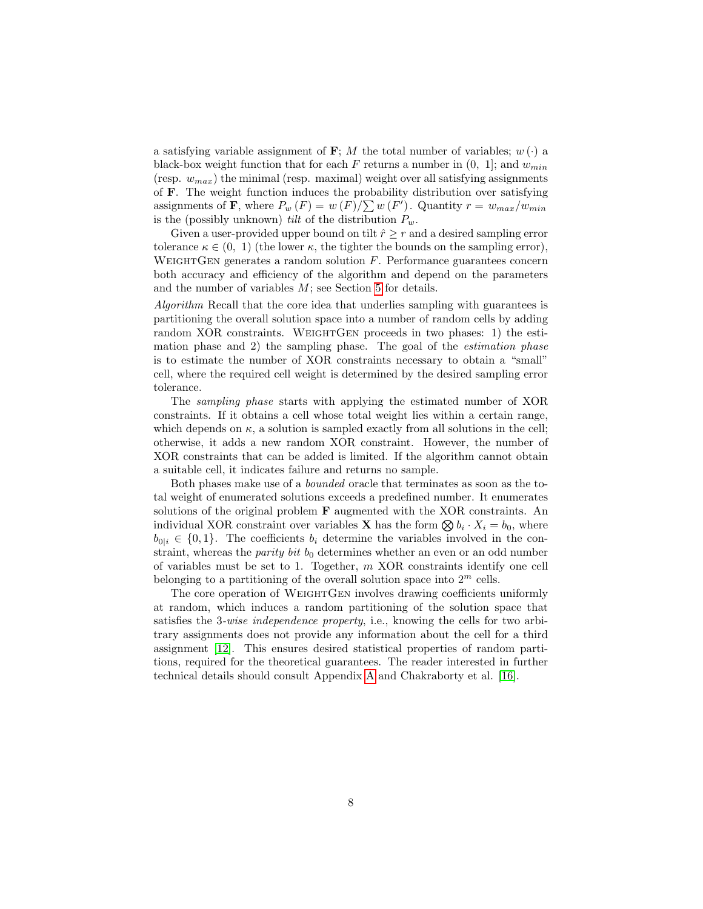a satisfying variable assignment of **F**; M the total number of variables;  $w(\cdot)$  a black-box weight function that for each F returns a number in  $(0, 1]$ ; and  $w_{min}$ (resp.  $w_{max}$ ) the minimal (resp. maximal) weight over all satisfying assignments of F. The weight function induces the probability distribution over satisfying assignments of **F**, where  $P_w(F) = w(F)/\sum w(F')$ . Quantity  $r = w_{max}/w_{min}$ is the (possibly unknown) *tilt* of the distribution  $P_w$ .

Given a user-provided upper bound on tilt  $\hat{r} \geq r$  and a desired sampling error tolerance  $\kappa \in (0, 1)$  (the lower  $\kappa$ , the tighter the bounds on the sampling error), WEIGHTGEN generates a random solution  $F$ . Performance guarantees concern both accuracy and efficiency of the algorithm and depend on the parameters and the number of variables M; see Section [5](#page-8-0) for details.

Algorithm Recall that the core idea that underlies sampling with guarantees is partitioning the overall solution space into a number of random cells by adding random XOR constraints. WEIGHTGEN proceeds in two phases: 1) the estimation phase and 2) the sampling phase. The goal of the estimation phase is to estimate the number of XOR constraints necessary to obtain a "small" cell, where the required cell weight is determined by the desired sampling error tolerance.

The sampling phase starts with applying the estimated number of XOR constraints. If it obtains a cell whose total weight lies within a certain range, which depends on  $\kappa$ , a solution is sampled exactly from all solutions in the cell; otherwise, it adds a new random XOR constraint. However, the number of XOR constraints that can be added is limited. If the algorithm cannot obtain a suitable cell, it indicates failure and returns no sample.

Both phases make use of a bounded oracle that terminates as soon as the total weight of enumerated solutions exceeds a predefined number. It enumerates solutions of the original problem F augmented with the XOR constraints. An individual XOR constraint over variables **X** has the form  $\bigotimes b_i \cdot X_i = b_0$ , where  $b_{0|i} \in \{0,1\}$ . The coefficients  $b_i$  determine the variables involved in the constraint, whereas the *parity bit*  $b_0$  determines whether an even or an odd number of variables must be set to 1. Together, m XOR constraints identify one cell belonging to a partitioning of the overall solution space into  $2^m$  cells.

The core operation of WEIGHTGEN involves drawing coefficients uniformly at random, which induces a random partitioning of the solution space that satisfies the 3-wise independence property, i.e., knowing the cells for two arbitrary assignments does not provide any information about the cell for a third assignment [\[12\]](#page-25-7). This ensures desired statistical properties of random partitions, required for the theoretical guarantees. The reader interested in further technical details should consult Appendix [A](#page-28-0) and Chakraborty et al. [\[16\]](#page-26-0).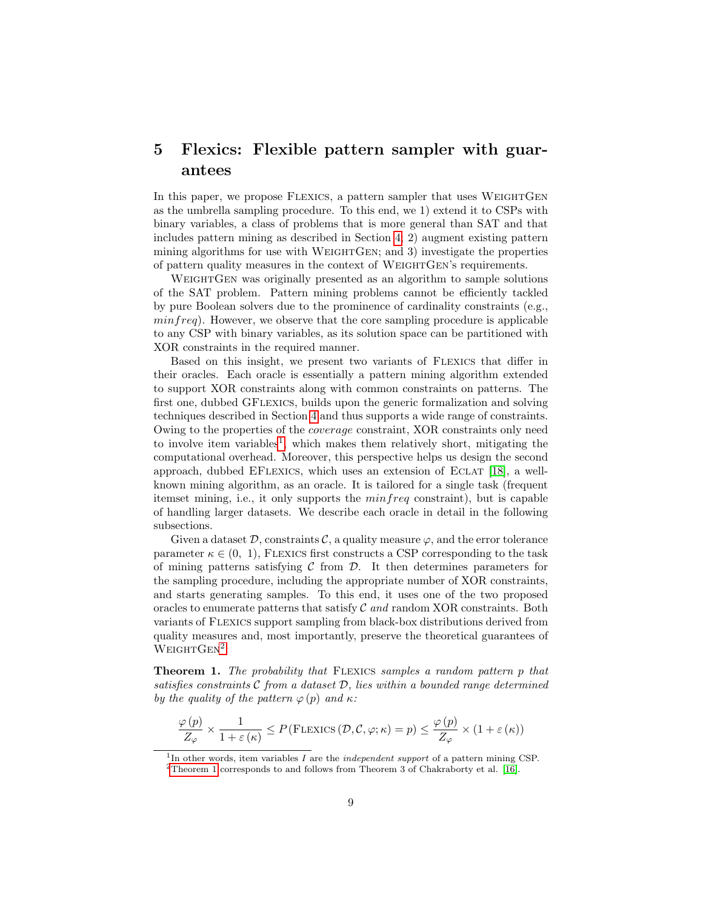# <span id="page-8-0"></span>5 Flexics: Flexible pattern sampler with guarantees

In this paper, we propose FLEXICS, a pattern sampler that uses WEIGHTGEN as the umbrella sampling procedure. To this end, we 1) extend it to CSPs with binary variables, a class of problems that is more general than SAT and that includes pattern mining as described in Section [4;](#page-5-0) 2) augment existing pattern mining algorithms for use with WEIGHTGEN; and 3) investigate the properties of pattern quality measures in the context of WEIGHTGEN's requirements.

WEIGHTGEN was originally presented as an algorithm to sample solutions of the SAT problem. Pattern mining problems cannot be efficiently tackled by pure Boolean solvers due to the prominence of cardinality constraints (e.g.,  $minfreq$ ). However, we observe that the core sampling procedure is applicable to any CSP with binary variables, as its solution space can be partitioned with XOR constraints in the required manner.

Based on this insight, we present two variants of Flexics that differ in their oracles. Each oracle is essentially a pattern mining algorithm extended to support XOR constraints along with common constraints on patterns. The first one, dubbed GFlexics, builds upon the generic formalization and solving techniques described in Section [4](#page-5-0) and thus supports a wide range of constraints. Owing to the properties of the coverage constraint, XOR constraints only need to involve item variables<sup>[1](#page-8-1)</sup>, which makes them relatively short, mitigating the computational overhead. Moreover, this perspective helps us design the second approach, dubbed EFlexics, which uses an extension of Eclat [\[18\]](#page-26-2), a wellknown mining algorithm, as an oracle. It is tailored for a single task (frequent itemset mining, i.e., it only supports the minfreq constraint), but is capable of handling larger datasets. We describe each oracle in detail in the following subsections.

Given a dataset  $\mathcal{D}$ , constraints  $\mathcal{C}$ , a quality measure  $\varphi$ , and the error tolerance parameter  $\kappa \in (0, 1)$ , FLEXICS first constructs a CSP corresponding to the task of mining patterns satisfying  $C$  from  $D$ . It then determines parameters for the sampling procedure, including the appropriate number of XOR constraints, and starts generating samples. To this end, it uses one of the two proposed oracles to enumerate patterns that satisfy  $\mathcal C$  and random XOR constraints. Both variants of Flexics support sampling from black-box distributions derived from quality measures and, most importantly, preserve the theoretical guarantees of  $W$ EIGHT $GEN^2$  $GEN^2$ :

<span id="page-8-3"></span>Theorem 1. The probability that Flexics samples a random pattern p that satisfies constraints  $\mathcal C$  from a dataset  $\mathcal D$ , lies within a bounded range determined by the quality of the pattern  $\varphi(p)$  and  $\kappa$ :

$$
\frac{\varphi(p)}{Z_{\varphi}} \times \frac{1}{1+\varepsilon(\kappa)} \le P(\text{FLEXICS}(\mathcal{D}, \mathcal{C}, \varphi; \kappa) = p) \le \frac{\varphi(p)}{Z_{\varphi}} \times (1+\varepsilon(\kappa))
$$

<span id="page-8-2"></span><span id="page-8-1"></span><sup>&</sup>lt;sup>1</sup>In other words, item variables  $I$  are the *independent support* of a pattern mining CSP.

 $^2$  [Theorem 1](#page-8-3) corresponds to and follows from Theorem 3 of Chakraborty et al. [\[16\]](#page-26-0).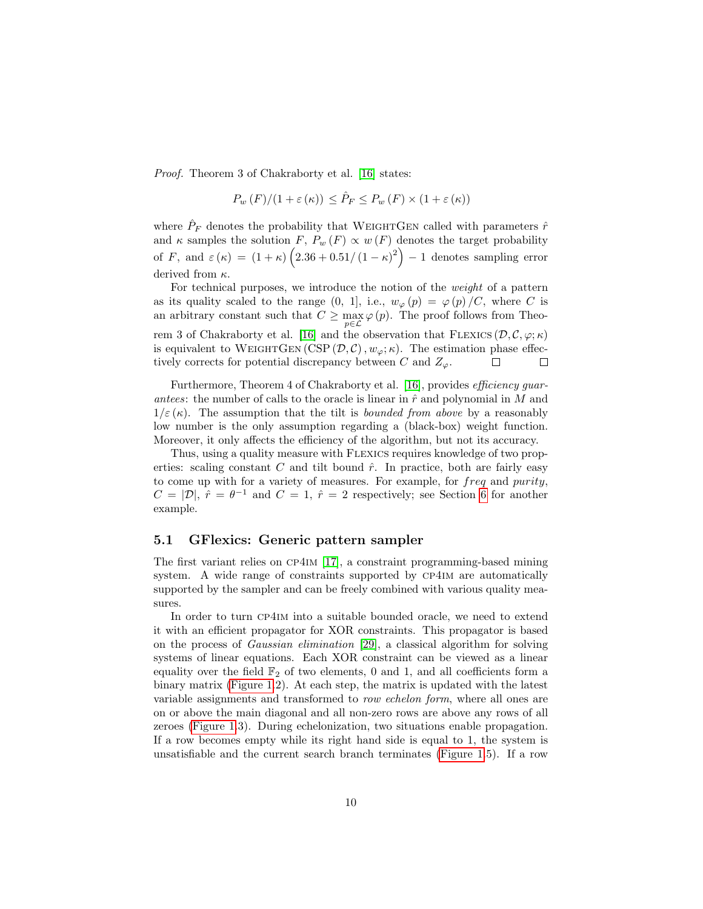Proof. Theorem 3 of Chakraborty et al. [\[16\]](#page-26-0) states:

$$
P_w(F)/(1+\varepsilon(\kappa)) \le \hat{P}_F \le P_w(F) \times (1+\varepsilon(\kappa))
$$

where  $\hat{P}_F$  denotes the probability that WEIGHTGEN called with parameters  $\hat{r}$ and  $\kappa$  samples the solution F,  $P_w(F) \propto w(F)$  denotes the target probability of F, and  $\varepsilon(\kappa) = (1 + \kappa) (2.36 + 0.51/(1 - \kappa)^2) - 1$  denotes sampling error derived from  $\kappa$ .

For technical purposes, we introduce the notion of the weight of a pattern as its quality scaled to the range  $(0, 1]$ , i.e.,  $w_{\varphi}(p) = \varphi(p)/C$ , where C is an arbitrary constant such that  $C \ge \max_{p \in \mathcal{L}} \varphi(p)$ . The proof follows from Theo-rem 3 of Chakraborty et al. [\[16\]](#page-26-0) and the observation that FLEXICS  $(D, \mathcal{C}, \varphi; \kappa)$ is equivalent to WEIGHTGEN (CSP  $(\mathcal{D}, \mathcal{C}), w_{\varphi}; \kappa$ ). The estimation phase effectively corrects for potential discrepancy between C and  $Z_{\varphi}$ .  $\Box$  $\Box$ 

Furthermore, Theorem 4 of Chakraborty et al. [\[16\]](#page-26-0), provides *efficiency guar*antees: the number of calls to the oracle is linear in  $\hat{r}$  and polynomial in M and  $1/\varepsilon(\kappa)$ . The assumption that the tilt is *bounded from above* by a reasonably low number is the only assumption regarding a (black-box) weight function. Moreover, it only affects the efficiency of the algorithm, but not its accuracy.

Thus, using a quality measure with Flexics requires knowledge of two properties: scaling constant  $C$  and tilt bound  $\hat{r}$ . In practice, both are fairly easy to come up with for a variety of measures. For example, for freq and purity,  $C = |\mathcal{D}|$ ,  $\hat{r} = \theta^{-1}$  and  $C = 1$ ,  $\hat{r} = 2$  respectively; see Section [6](#page-12-0) for another example.

#### 5.1 GFlexics: Generic pattern sampler

The first variant relies on cp4im [\[17\]](#page-26-1), a constraint programming-based mining system. A wide range of constraints supported by CP4IM are automatically supported by the sampler and can be freely combined with various quality measures.

In order to turn cp4im into a suitable bounded oracle, we need to extend it with an efficient propagator for XOR constraints. This propagator is based on the process of Gaussian elimination [\[29\]](#page-27-2), a classical algorithm for solving systems of linear equations. Each XOR constraint can be viewed as a linear equality over the field  $\mathbb{F}_2$  of two elements, 0 and 1, and all coefficients form a binary matrix [\(Figure 1.](#page-10-0)2). At each step, the matrix is updated with the latest variable assignments and transformed to row echelon form, where all ones are on or above the main diagonal and all non-zero rows are above any rows of all zeroes [\(Figure 1.](#page-10-0)3). During echelonization, two situations enable propagation. If a row becomes empty while its right hand side is equal to 1, the system is unsatisfiable and the current search branch terminates [\(Figure 1.](#page-10-0)5). If a row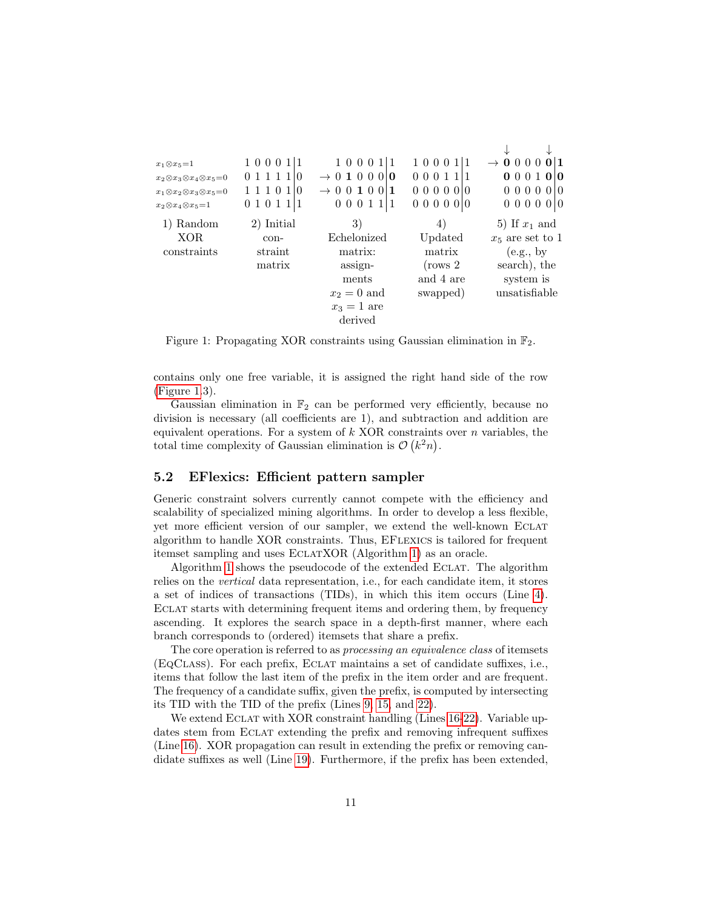| $x_1 \otimes x_5 = 1$                         | 100011         | 1000111                        | 100011               | $\rightarrow$ 0 0 0 0<br>0 <sup>1</sup> |
|-----------------------------------------------|----------------|--------------------------------|----------------------|-----------------------------------------|
| $x_2\otimes x_3\otimes x_4\otimes x_5=0$      | 0 1 1 1 1<br>0 | $\rightarrow$ 0 1 0 0 0 0      | $0 \t0 \t0 \t1 \t11$ | 000100                                  |
| $x_1 \otimes x_2 \otimes x_3 \otimes x_5 = 0$ | 1 1 1 0 1   0  | $\rightarrow$ 0 0 1 0 0<br>  1 | 0 0 0 0 0 0          | 0 0 0 0 0 0                             |
| $x_2 \otimes x_4 \otimes x_5 = 1$             | 01011          | 0 0 0 1 1 1                    | 0 0 0 0 0 0          | 0 0 0 0 0 0                             |
| Random                                        | 2) Initial     | 3)                             | 4)                   | 5) If $x_1$ and                         |
| XOR.                                          | con-           | Echelonized                    | Updated              | $x_5$ are set to 1                      |
| constraints                                   | straint        | matrix:                        | matrix               | (e.g., by                               |
|                                               | matrix         | assign-                        | $(\text{rows } 2)$   | search), the                            |
|                                               |                | ments                          | and 4 are            | system is                               |
|                                               |                | $x_2=0$ and                    | swapped)             | unsatisfiable                           |
|                                               |                | $x_3=1$ are                    |                      |                                         |
|                                               |                | derived                        |                      |                                         |

<span id="page-10-0"></span>Figure 1: Propagating XOR constraints using Gaussian elimination in  $\mathbb{F}_2$ .

contains only one free variable, it is assigned the right hand side of the row [\(Figure 1.](#page-10-0)3).

Gaussian elimination in  $\mathbb{F}_2$  can be performed very efficiently, because no division is necessary (all coefficients are 1), and subtraction and addition are equivalent operations. For a system of  $k$  XOR constraints over  $n$  variables, the total time complexity of Gaussian elimination is  $\mathcal{O}(k^2n)$ .

#### 5.2 EFlexics: Efficient pattern sampler

Generic constraint solvers currently cannot compete with the efficiency and scalability of specialized mining algorithms. In order to develop a less flexible, yet more efficient version of our sampler, we extend the well-known Eclat algorithm to handle XOR constraints. Thus, EFLEXICS is tailored for frequent itemset sampling and uses EclatXOR (Algorithm [1\)](#page-11-0) as an oracle.

Algorithm [1](#page-11-0) shows the pseudocode of the extended ECLAT. The algorithm relies on the vertical data representation, i.e., for each candidate item, it stores a set of indices of transactions (TIDs), in which this item occurs (Line [4\)](#page-11-0). Eclat starts with determining frequent items and ordering them, by frequency ascending. It explores the search space in a depth-first manner, where each branch corresponds to (ordered) itemsets that share a prefix.

The core operation is referred to as *processing an equivalence class* of itemsets (EqClass). For each prefix, Eclat maintains a set of candidate suffixes, i.e., items that follow the last item of the prefix in the item order and are frequent. The frequency of a candidate suffix, given the prefix, is computed by intersecting its TID with the TID of the prefix (Lines [9, 15,](#page-11-0) and [22\)](#page-11-0).

We extend ECLAT with XOR constraint handling (Lines [16-22\)](#page-11-0). Variable updates stem from ECLAT extending the prefix and removing infrequent suffixes (Line [16\)](#page-11-0). XOR propagation can result in extending the prefix or removing candidate suffixes as well (Line [19\)](#page-11-0). Furthermore, if the prefix has been extended,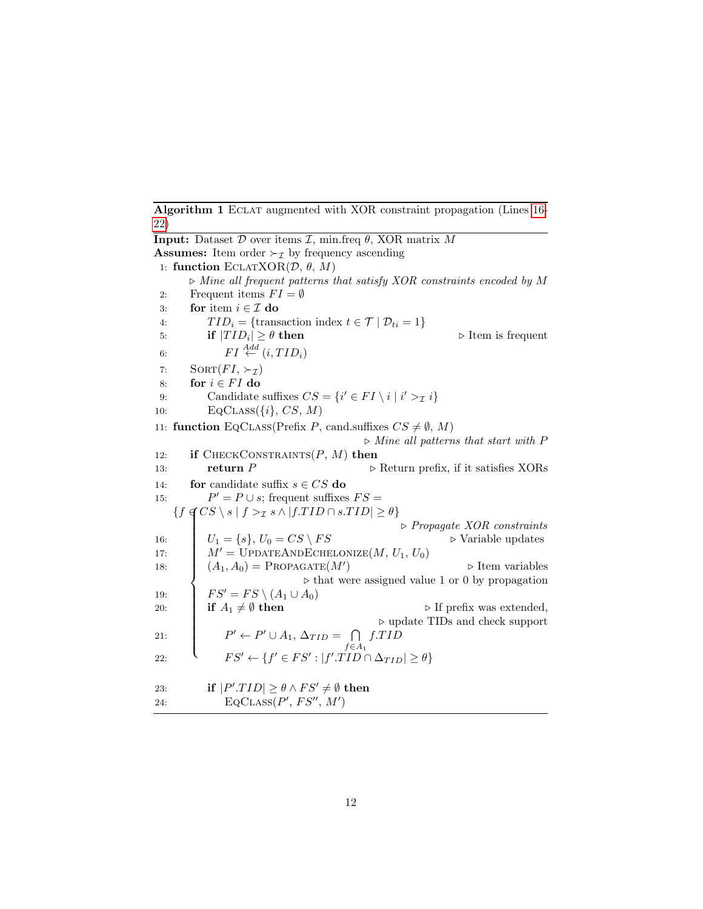<span id="page-11-0"></span>Algorithm 1 ECLAT augmented with XOR constraint propagation (Lines [16-](#page-11-0) [22\)](#page-11-0)

**Input:** Dataset  $D$  over items  $\mathcal{I}$ , min.freq  $\theta$ , XOR matrix  $M$ **Assumes:** Item order  $\succ_{\mathcal{I}}$  by frequency ascending 1: function ECLATXOR $(D, \theta, M)$  $\triangleright$  Mine all frequent patterns that satisfy XOR constraints encoded by M 2: Frequent items  $FI = \emptyset$ 3: for item  $i \in \mathcal{I}$  do 4:  $TID_i = {\text{transaction index } t \in \mathcal{T} | D_{ti} = 1}$ 5: if  $|TID_i| \geq \theta$  then  $\triangleright$  Item is frequent 6:  $FI \stackrel{Add}{\leftarrow} (i, TID_i)$ 7:  $SORT(FI, \succ_{\tau})$ 8: for  $i \in FI$  do 9: Candidate suffixes  $CS = \{i' \in FI \setminus i \mid i' >_I i\}$ 10:  $\text{EqCLASS}(\{i\}, \text{CS}, \text{M})$ 11: function EQCLASS(Prefix P, cand.suffixes  $CS \neq \emptyset$ , M)  $\triangleright$  Mine all patterns that start with P 12: if CHECKCONSTRAINTS $(P, M)$  then 13: **return** P  $\triangleright$  Return prefix, if it satisfies XORs 14: **for** candidate suffix  $s \in CS$  do 15:  $P' = P \cup s$ ; frequent suffixes  $FS =$  $\{f \notin CS \setminus s \mid f >_{\mathcal{I}} s \land |f.TID \cap s.TID| \geq \theta\}$  $\begin{array}{c} \hline \end{array}$  $\begin{array}{c} \hline \end{array}$  $\triangleright$  Propagate XOR constraints 16:  $U_1 = \{s\}, U_0 = CS \setminus FS$   $\triangleright$  Variable updates 17:  $M' = \text{UPDATECHELONIZE}(M, U_1, U_0)$ 18:  $(A_1, A_0) = \text{PropagATE}(M')$  $\triangleright$  Item variables  $\triangleright$  that were assigned value 1 or 0 by propagation 19:  $FS' = FS \setminus (A_1 \cup A_0)$ <br>20: **if**  $A_1 \neq \emptyset$  then 20: **if**  $A_1 \neq \emptyset$  then  $\triangleright$  If prefix was extended,  $\triangleright$  update TIDs and check support 21:  $P' \leftarrow P' \cup A_1, \Delta_{TID} = \bigcap$  $f \in A_1$  $f.TID$ 22:  $\qquad \qquad \mathcal{F}S' \leftarrow \{f' \in FS': |f'.TID \cap \Delta_{TID}| \geq \theta\}$ 23: if  $|P' . TID| \ge \theta \wedge FS' \ne \emptyset$  then 24. EQCLASS $(P', FS'', M')$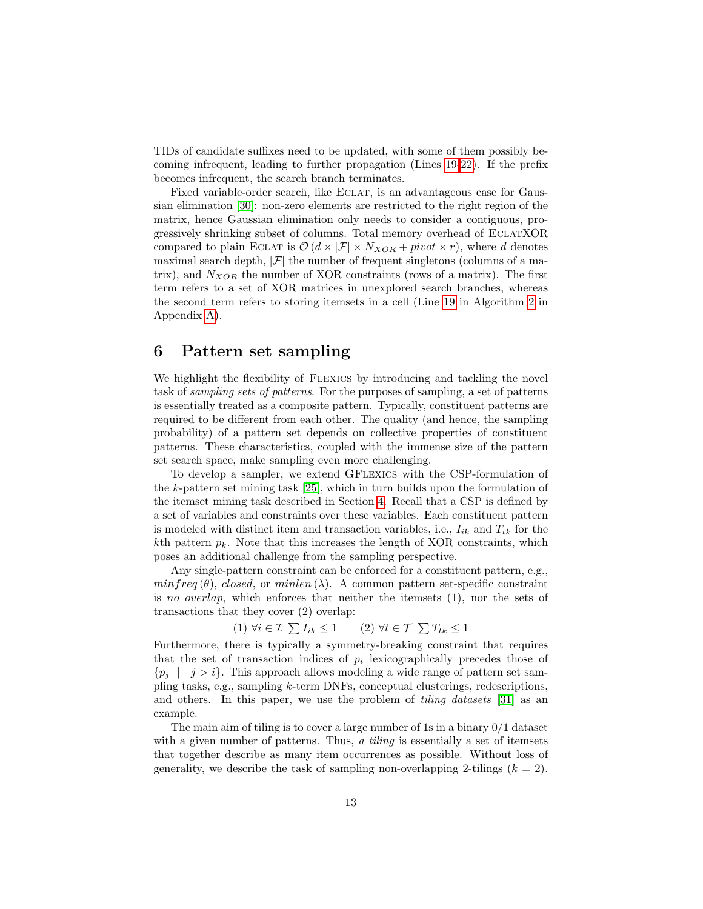TIDs of candidate suffixes need to be updated, with some of them possibly becoming infrequent, leading to further propagation (Lines [19-22\)](#page-11-0). If the prefix becomes infrequent, the search branch terminates.

Fixed variable-order search, like Eclat, is an advantageous case for Gaussian elimination [\[30\]](#page-27-3): non-zero elements are restricted to the right region of the matrix, hence Gaussian elimination only needs to consider a contiguous, progressively shrinking subset of columns. Total memory overhead of EclatXOR compared to plain ECLAT is  $\mathcal{O}(d \times |\mathcal{F}| \times N_{XOR} + pivot \times r)$ , where d denotes maximal search depth,  $|\mathcal{F}|$  the number of frequent singletons (columns of a matrix), and  $N_{XOR}$  the number of XOR constraints (rows of a matrix). The first term refers to a set of XOR matrices in unexplored search branches, whereas the second term refers to storing itemsets in a cell (Line [19](#page-30-0) in Algorithm [2](#page-30-0) in Appendix [A\)](#page-28-0).

### <span id="page-12-0"></span>6 Pattern set sampling

We highlight the flexibility of Flexics by introducing and tackling the novel task of sampling sets of patterns. For the purposes of sampling, a set of patterns is essentially treated as a composite pattern. Typically, constituent patterns are required to be different from each other. The quality (and hence, the sampling probability) of a pattern set depends on collective properties of constituent patterns. These characteristics, coupled with the immense size of the pattern set search space, make sampling even more challenging.

To develop a sampler, we extend GFlexics with the CSP-formulation of the k-pattern set mining task [\[25\]](#page-26-9), which in turn builds upon the formulation of the itemset mining task described in Section [4.](#page-5-0) Recall that a CSP is defined by a set of variables and constraints over these variables. Each constituent pattern is modeled with distinct item and transaction variables, i.e.,  $I_{ik}$  and  $T_{tk}$  for the  $k$ th pattern  $p_k$ . Note that this increases the length of XOR constraints, which poses an additional challenge from the sampling perspective.

Any single-pattern constraint can be enforced for a constituent pattern, e.g.,  $minfreq(\theta)$ , closed, or minlen (λ). A common pattern set-specific constraint is no overlap, which enforces that neither the itemsets (1), nor the sets of transactions that they cover (2) overlap:

$$
(1) \,\forall i \in \mathcal{I} \sum I_{ik} \le 1 \qquad (2) \,\forall t \in \mathcal{T} \sum T_{tk} \le 1
$$

Furthermore, there is typically a symmetry-breaking constraint that requires that the set of transaction indices of  $p_i$  lexicographically precedes those of  $\{p_i \mid j > i\}.$  This approach allows modeling a wide range of pattern set sampling tasks, e.g., sampling k-term DNFs, conceptual clusterings, redescriptions, and others. In this paper, we use the problem of *tiling datasets* [\[31\]](#page-27-4) as an example.

The main aim of tiling is to cover a large number of 1s in a binary 0/1 dataset with a given number of patterns. Thus, a *tiling* is essentially a set of itemsets that together describe as many item occurrences as possible. Without loss of generality, we describe the task of sampling non-overlapping 2-tilings  $(k = 2)$ .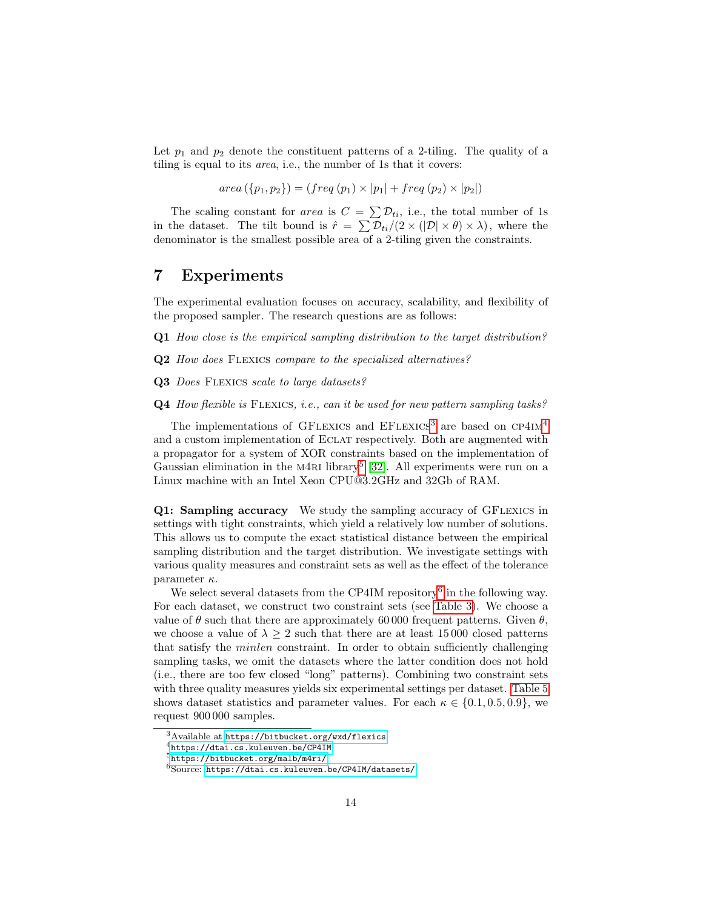Let  $p_1$  and  $p_2$  denote the constituent patterns of a 2-tiling. The quality of a tiling is equal to its area, i.e., the number of 1s that it covers:

 $area({p_1, p_2}) = (freq(p_1) \times |p_1| + freq(p_2) \times |p_2|)$ 

The scaling constant for *area* is  $C = \sum D_{ti}$ , i.e., the total number of 1s in the dataset. The tilt bound is  $\hat{r} = \sum \mathcal{D}_{ti}/(2 \times (|\mathcal{D}| \times \theta) \times \lambda)$ , where the denominator is the smallest possible area of a 2-tiling given the constraints.

### <span id="page-13-0"></span>7 Experiments

The experimental evaluation focuses on accuracy, scalability, and flexibility of the proposed sampler. The research questions are as follows:

- Q1 How close is the empirical sampling distribution to the target distribution?
- Q2 How does FLEXICS compare to the specialized alternatives?
- Q3 Does FLEXICS scale to large datasets?
- Q4 How flexible is FLEXICS, i.e., can it be used for new pattern sampling tasks?

The implementations of GFLEXICS and  $EFL{\text{EXICS}}^3$  $EFL{\text{EXICS}}^3$  are based on  $CP4IM^4$  $CP4IM^4$  $CP4IM^4$ and a custom implementation of Eclat respectively. Both are augmented with a propagator for a system of XOR constraints based on the implementation of Gaussian elimination in the M4RI library<sup>[5](#page-13-3)</sup> [\[32\]](#page-27-5). All experiments were run on a Linux machine with an Intel Xeon CPU@3.2GHz and 32Gb of RAM.

Q1: Sampling accuracy We study the sampling accuracy of GFLEXICS in settings with tight constraints, which yield a relatively low number of solutions. This allows us to compute the exact statistical distance between the empirical sampling distribution and the target distribution. We investigate settings with various quality measures and constraint sets as well as the effect of the tolerance parameter  $\kappa$ .

We select several datasets from the CP4IM repository<sup>[6](#page-13-4)</sup> in the following way. For each dataset, we construct two constraint sets (see [Table 3\)](#page-14-0). We choose a value of  $\theta$  such that there are approximately 60 000 frequent patterns. Given  $\theta$ , we choose a value of  $\lambda \geq 2$  such that there are at least 15000 closed patterns that satisfy the minlen constraint. In order to obtain sufficiently challenging sampling tasks, we omit the datasets where the latter condition does not hold (i.e., there are too few closed "long" patterns). Combining two constraint sets with three quality measures yields six experimental settings per dataset. [Table 5](#page-17-0) shows dataset statistics and parameter values. For each  $\kappa \in \{0.1, 0.5, 0.9\}$ , we request 900 000 samples.

<span id="page-13-1"></span> $3A$ vailable at <https://bitbucket.org/wxd/flexics>.

<span id="page-13-2"></span><sup>4</sup><https://dtai.cs.kuleuven.be/CP4IM>

<span id="page-13-3"></span><sup>5</sup><https://bitbucket.org/malb/m4ri/>

<span id="page-13-4"></span><sup>6</sup>Source: <https://dtai.cs.kuleuven.be/CP4IM/datasets/>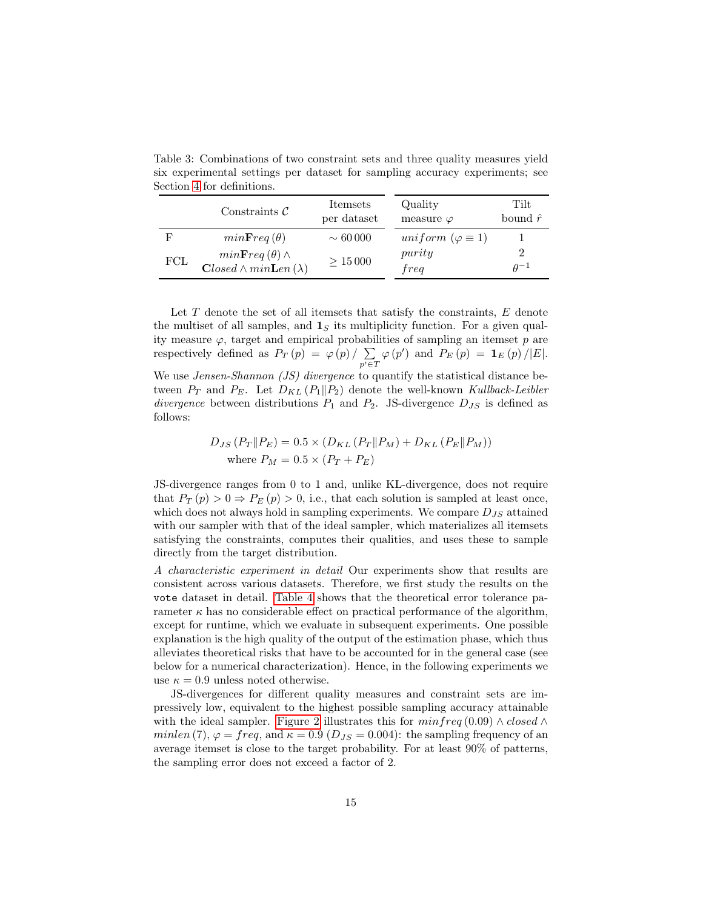<span id="page-14-0"></span>Table 3: Combinations of two constraint sets and three quality measures yield six experimental settings per dataset for sampling accuracy experiments; see Section [4](#page-5-0) for definitions.

|     | Constraints $\mathcal C$                                    | Itemsets<br>per dataset | Quality<br>measure $\varphi$ | Tilt<br>bound $\hat{r}$ |
|-----|-------------------------------------------------------------|-------------------------|------------------------------|-------------------------|
| F   | $minFreq(\theta)$                                           | $\sim 60000$            | uniform $(\varphi \equiv 1)$ |                         |
| FCL | $minFreq(\theta) \wedge$<br>$Closed \wedge minLen(\lambda)$ | $\geq 15000$            | purity<br>freq               | $\theta^{-1}$           |

Let T denote the set of all itemsets that satisfy the constraints, E denote the multiset of all samples, and  $\mathbf{1}_S$  its multiplicity function. For a given quality measure  $\varphi$ , target and empirical probabilities of sampling an itemset  $p$  are respectively defined as  $P_T(p) = \varphi(p) / \sum$  $p' \in T$  $\varphi(p')$  and  $P_E(p) = \mathbf{1}_E(p)/|E|.$ We use *Jensen-Shannon* (*JS*) divergence to quantify the statistical distance between  $P_T$  and  $P_E$ . Let  $D_{KL} (P_1 || P_2)$  denote the well-known Kullback-Leibler divergence between distributions  $P_1$  and  $P_2$ . JS-divergence  $D_{JS}$  is defined as follows:

$$
D_{JS} (P_T \| P_E) = 0.5 \times (D_{KL} (P_T \| P_M) + D_{KL} (P_E \| P_M))
$$
  
where  $P_M = 0.5 \times (P_T + P_E)$ 

JS-divergence ranges from 0 to 1 and, unlike KL-divergence, does not require that  $P_T(p) > 0 \Rightarrow P_E(p) > 0$ , i.e., that each solution is sampled at least once, which does not always hold in sampling experiments. We compare  $D_{JS}$  attained with our sampler with that of the ideal sampler, which materializes all itemsets satisfying the constraints, computes their qualities, and uses these to sample directly from the target distribution.

A characteristic experiment in detail Our experiments show that results are consistent across various datasets. Therefore, we first study the results on the vote dataset in detail. [Table 4](#page-16-0) shows that the theoretical error tolerance parameter  $\kappa$  has no considerable effect on practical performance of the algorithm, except for runtime, which we evaluate in subsequent experiments. One possible explanation is the high quality of the output of the estimation phase, which thus alleviates theoretical risks that have to be accounted for in the general case (see below for a numerical characterization). Hence, in the following experiments we use  $\kappa = 0.9$  unless noted otherwise.

JS-divergences for different quality measures and constraint sets are impressively low, equivalent to the highest possible sampling accuracy attainable with the ideal sampler. [Figure 2](#page-15-0) illustrates this for  $minfreq(0.09) \wedge closed \wedge$ minlen (7),  $\varphi = \text{freq}$ , and  $\kappa = 0.9$  ( $D_{JS} = 0.004$ ): the sampling frequency of an average itemset is close to the target probability. For at least 90% of patterns, the sampling error does not exceed a factor of 2.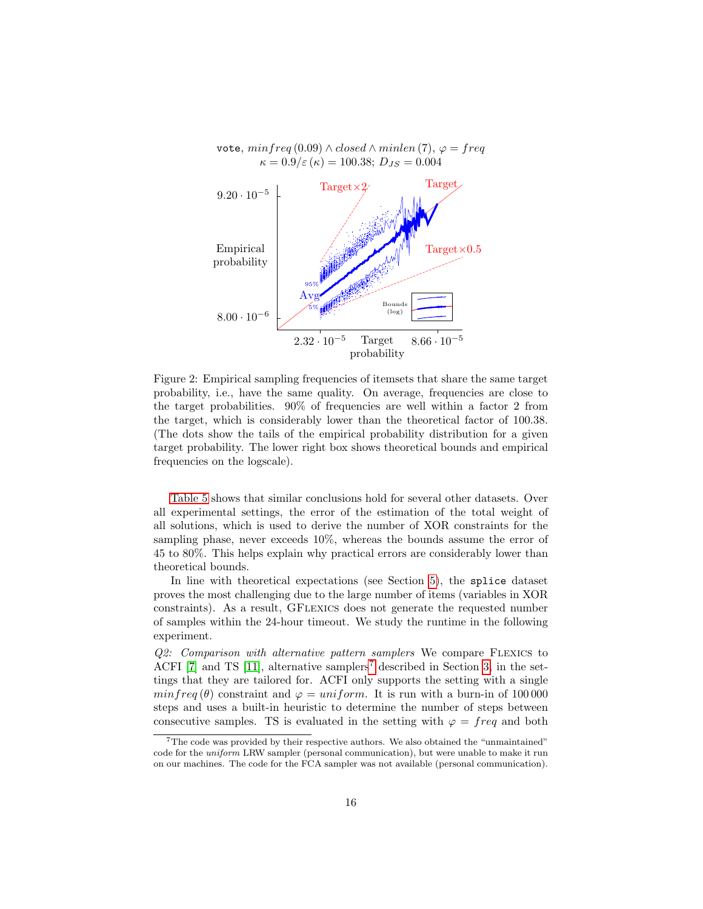

<span id="page-15-0"></span>Figure 2: Empirical sampling frequencies of itemsets that share the same target probability, i.e., have the same quality. On average, frequencies are close to the target probabilities. 90% of frequencies are well within a factor 2 from the target, which is considerably lower than the theoretical factor of 100.38. (The dots show the tails of the empirical probability distribution for a given target probability. The lower right box shows theoretical bounds and empirical frequencies on the logscale).

[Table 5](#page-17-0) shows that similar conclusions hold for several other datasets. Over all experimental settings, the error of the estimation of the total weight of all solutions, which is used to derive the number of XOR constraints for the sampling phase, never exceeds 10%, whereas the bounds assume the error of 45 to 80%. This helps explain why practical errors are considerably lower than theoretical bounds.

In line with theoretical expectations (see Section [5\)](#page-8-0), the splice dataset proves the most challenging due to the large number of items (variables in XOR constraints). As a result, GFlexics does not generate the requested number of samples within the 24-hour timeout. We study the runtime in the following experiment.

Q2: Comparison with alternative pattern samplers We compare Flexics to ACFI [\[7\]](#page-25-2) and TS [\[11\]](#page-25-6), alternative samplers<sup>[7](#page-15-1)</sup> described in Section [3,](#page-4-0) in the settings that they are tailored for. ACFI only supports the setting with a single  $minfreq (\theta)$  constraint and  $\varphi = uniform$ . It is run with a burn-in of 100 000 steps and uses a built-in heuristic to determine the number of steps between consecutive samples. TS is evaluated in the setting with  $\varphi = freq$  and both

<span id="page-15-1"></span><sup>&</sup>lt;sup>7</sup>The code was provided by their respective authors. We also obtained the "unmaintained" code for the uniform LRW sampler (personal communication), but were unable to make it run on our machines. The code for the FCA sampler was not available (personal communication).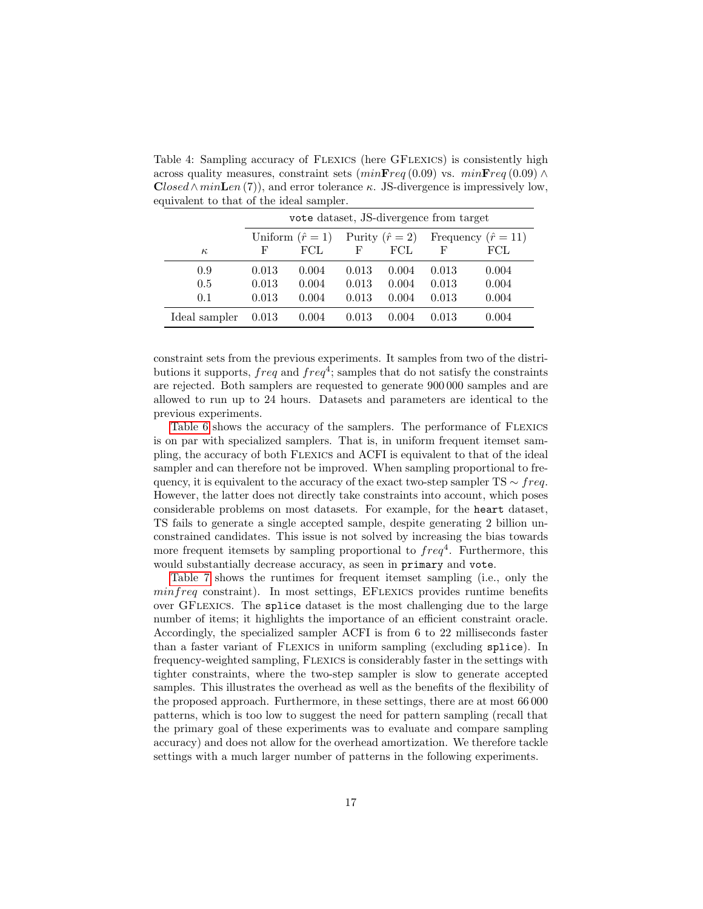<span id="page-16-0"></span>Table 4: Sampling accuracy of FLEXICS (here GFLEXICS) is consistently high across quality measures, constraint sets  $(minFreq(0.09)$  vs.  $minFreq(0.09)$   $\wedge$  $Closed \wedge minLen(7)$ , and error tolerance κ. JS-divergence is impressively low, equivalent to that of the ideal sampler.

|               |       | vote dataset, JS-divergence from target |       |                      |                          |       |  |  |
|---------------|-------|-----------------------------------------|-------|----------------------|--------------------------|-------|--|--|
|               |       | Uniform $(\hat{r}=1)$                   |       | Purity $(\hat{r}=2)$ | Frequency $(\hat{r}=11)$ |       |  |  |
| $\kappa$      | F     | FCL.                                    | F     | FCL.                 | F                        | FCL   |  |  |
| 0.9           | 0.013 | 0.004                                   | 0.013 | 0.004                | 0.013                    | 0.004 |  |  |
| 0.5           | 0.013 | 0.004                                   | 0.013 | 0.004                | 0.013                    | 0.004 |  |  |
| 0.1           | 0.013 | 0.004                                   | 0.013 | 0.004                | 0.013                    | 0.004 |  |  |
| Ideal sampler | 0.013 | 0.004                                   | 0.013 | 0.004                | 0.013                    | 0.004 |  |  |

constraint sets from the previous experiments. It samples from two of the distributions it supports,  $freq$  and  $freq^4$ ; samples that do not satisfy the constraints are rejected. Both samplers are requested to generate 900 000 samples and are allowed to run up to 24 hours. Datasets and parameters are identical to the previous experiments.

[Table 6](#page-17-1) shows the accuracy of the samplers. The performance of Flexics is on par with specialized samplers. That is, in uniform frequent itemset sampling, the accuracy of both Flexics and ACFI is equivalent to that of the ideal sampler and can therefore not be improved. When sampling proportional to frequency, it is equivalent to the accuracy of the exact two-step sampler TS  $\sim$  freq. However, the latter does not directly take constraints into account, which poses considerable problems on most datasets. For example, for the heart dataset, TS fails to generate a single accepted sample, despite generating 2 billion unconstrained candidates. This issue is not solved by increasing the bias towards more frequent itemsets by sampling proportional to  $freq^4$ . Furthermore, this would substantially decrease accuracy, as seen in primary and vote.

[Table 7](#page-18-0) shows the runtimes for frequent itemset sampling (i.e., only the minfreq constraint). In most settings, EFLEXICS provides runtime benefits over GFlexics. The splice dataset is the most challenging due to the large number of items; it highlights the importance of an efficient constraint oracle. Accordingly, the specialized sampler ACFI is from 6 to 22 milliseconds faster than a faster variant of Flexics in uniform sampling (excluding splice). In frequency-weighted sampling, Flexics is considerably faster in the settings with tighter constraints, where the two-step sampler is slow to generate accepted samples. This illustrates the overhead as well as the benefits of the flexibility of the proposed approach. Furthermore, in these settings, there are at most 66 000 patterns, which is too low to suggest the need for pattern sampling (recall that the primary goal of these experiments was to evaluate and compare sampling accuracy) and does not allow for the overhead amortization. We therefore tackle settings with a much larger number of patterns in the following experiments.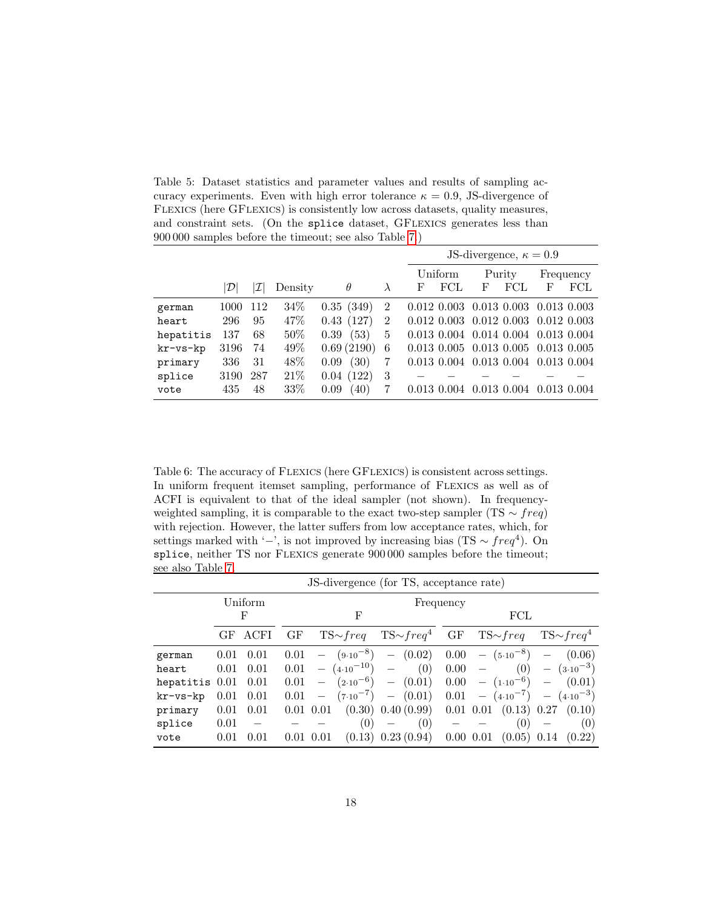<span id="page-17-0"></span>Table 5: Dataset statistics and parameter values and results of sampling accuracy experiments. Even with high error tolerance  $\kappa = 0.9$ , JS-divergence of Flexics (here GFlexics) is consistently low across datasets, quality measures, and constraint sets. (On the splice dataset, GFLEXICS generates less than 900 000 samples before the timeout; see also Table [7.](#page-18-0))

|           |      |     |         |               |                |             |                      |   | JS-divergence, $\kappa = 0.9$                   |                 |                      |
|-----------|------|-----|---------|---------------|----------------|-------------|----------------------|---|-------------------------------------------------|-----------------|----------------------|
|           |      |     |         |               |                |             | Uniform              |   | Purity                                          |                 | Frequency            |
|           | D    | I   | Density | $\theta$      | λ              | F           | $\operatorname{FCL}$ | F | FCL                                             | F               | $\operatorname{FCL}$ |
| german    | 1000 | 112 | 34%     | 0.35(349)     | $\overline{2}$ |             | $0.012\ 0.003$       |   | $0.013$ $0.003$                                 | $0.013$ $0.003$ |                      |
| heart     | 296  | 95  | 47%     | (127)<br>0.43 | $\overline{2}$ |             | $0.012\ 0.003$       |   | $0.012$ $0.003$ $0.012$ $0.003$                 |                 |                      |
| hepatitis | 137  | 68  | 50%     | (53)<br>0.39  | 5              |             | $0.013$ $0.004$      |   | $0.014$ $0.004$ $0.013$ $0.004$                 |                 |                      |
| kr-vs-kp  | 3196 | 74  | 49%     | 0.69(2190)    | 6              |             |                      |   | $0.013$ $0.005$ $0.013$ $0.005$ $0.013$ $0.005$ |                 |                      |
| primary   | 336  | 31  | 48%     | (30)<br>0.09  | 7              |             | $0.013$ $0.004$      |   | 0.013 0.004 0.013 0.004                         |                 |                      |
| splice    | 3190 | 287 | 21\%    | (122)<br>0.04 | 3              |             |                      |   |                                                 |                 |                      |
| vote      | 435  | 48  | 33%     | (40)<br>0.09  |                | 0.013 0.004 |                      |   | $0.013$ $0.004$                                 |                 | 0.013 0.004          |

<span id="page-17-1"></span>Table 6: The accuracy of FLEXICS (here GFLEXICS) is consistent across settings. In uniform frequent itemset sampling, performance of Flexics as well as of ACFI is equivalent to that of the ideal sampler (not shown). In frequencyweighted sampling, it is comparable to the exact two-step sampler (TS  $\sim freq$ ) with rejection. However, the latter suffers from low acceptance rates, which, for settings marked with '−', is not improved by increasing bias (TS  $\sim freq^4$ ). On splice, neither TS nor FLEXICS generate 900 000 samples before the timeout; see also Table [7.](#page-18-0)

|                         |      | JS-divergence (for TS, acceptance rate) |               |                          |                         |                                                                                   |           |              |                               |                        |
|-------------------------|------|-----------------------------------------|---------------|--------------------------|-------------------------|-----------------------------------------------------------------------------------|-----------|--------------|-------------------------------|------------------------|
|                         |      | Uniform                                 |               |                          |                         |                                                                                   | Frequency |              |                               |                        |
|                         |      | F                                       |               |                          | F                       |                                                                                   | FCL       |              |                               |                        |
|                         | GF.  | ACFI                                    | GF            |                          |                         | $TS \sim freq$ $TS \sim freq^4$ GF $TS \sim freq$ $TS \sim freq^4$                |           |              |                               |                        |
| german                  | 0.01 | 0.01                                    | 0.01          |                          |                         | $ (9.10^{-8})$ $ (0.02)$ $0.00$ $ (5.10^{-8})$ $ (0.06)$                          |           |              |                               |                        |
| heart                   | 0.01 | 0.01                                    |               |                          | $0.01 - (4.10^{-10}) -$ | (0)                                                                               | $0.00 -$  |              |                               | $(0)$ $ (3.10^{-3})$   |
| hepatitis $0.01$ $0.01$ |      |                                         | 0.01          |                          |                         | $ (2.10^{-6})$ $ (0.01)$                                                          |           |              | $0.00 - (1.10^{-6}) - (0.01)$ |                        |
| kr-vs-kp                | 0.01 | 0.01                                    | 0.01          | $\overline{\phantom{m}}$ |                         | $(7 \cdot 10^{-7})$ - $(0.01)$ $0.01$ - $(4 \cdot 10^{-7})$ - $(4 \cdot 10^{-3})$ |           |              |                               |                        |
| primary                 | 0.01 | 0.01                                    | $0.01$ $0.01$ |                          |                         | $(0.30)$ 0.40 $(0.99)$ 0.01 0.01 $(0.13)$ 0.27                                    |           |              |                               | (0.10)                 |
| splice                  | 0.01 |                                         |               |                          | (0)                     | (0)                                                                               |           |              | (0)                           | (0)                    |
| vote                    | 0.01 | 0.01                                    | $0.01$ $0.01$ |                          |                         | $(0.13)$ 0.23 $(0.94)$                                                            |           | $0.00\ 0.01$ |                               | $(0.05)$ 0.14 $(0.22)$ |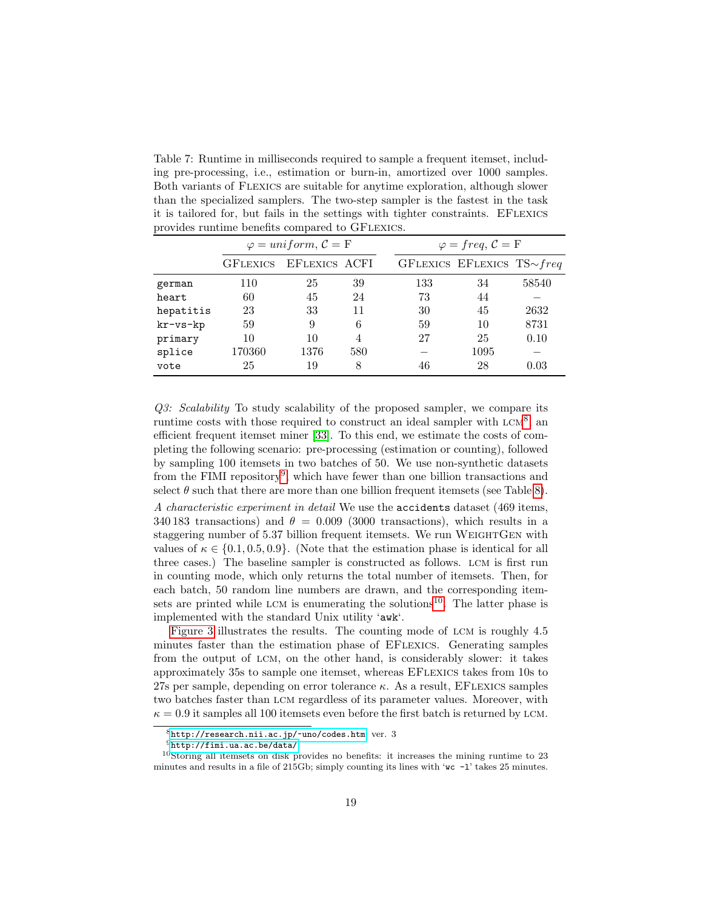<span id="page-18-0"></span>Table 7: Runtime in milliseconds required to sample a frequent itemset, including pre-processing, i.e., estimation or burn-in, amortized over 1000 samples. Both variants of Flexics are suitable for anytime exploration, although slower than the specialized samplers. The two-step sampler is the fastest in the task it is tailored for, but fails in the settings with tighter constraints. EFLEXICS provides runtime benefits compared to GFLEXICS.

|                    |                 | $\varphi = uniform, \mathcal{C} = F$ |     | $\varphi = freq, C = F$ |                                  |       |  |
|--------------------|-----------------|--------------------------------------|-----|-------------------------|----------------------------------|-------|--|
|                    | <b>GFLEXICS</b> | EFLEXICS ACFI                        |     |                         | GFLEXICS EFLEXICS TS $\sim$ freq |       |  |
| german             | 110             | 25                                   | 39  | 133                     | 34                               | 58540 |  |
| heart              | 60              | 45                                   | 24  | 73                      | 44                               |       |  |
| hepatitis          | 23              | 33                                   | 11  | 30                      | 45                               | 2632  |  |
| $kr$ - $vs$ - $kp$ | 59              | 9                                    | 6   | 59                      | 10                               | 8731  |  |
| primary            | 10              | 10                                   | 4   | 27                      | 25                               | 0.10  |  |
| splice             | 170360          | 1376                                 | 580 |                         | 1095                             |       |  |
| vote               | 25              | 19                                   | 8   | 46                      | 28                               | 0.03  |  |

Q3: Scalability To study scalability of the proposed sampler, we compare its runtime costs with those required to construct an ideal sampler with  $LCM^8$  $LCM^8$ , an efficient frequent itemset miner [\[33\]](#page-27-6). To this end, we estimate the costs of completing the following scenario: pre-processing (estimation or counting), followed by sampling 100 itemsets in two batches of 50. We use non-synthetic datasets from the FIMI repository<sup>[9](#page-18-2)</sup>, which have fewer than one billion transactions and select  $\theta$  such that there are more than one billion frequent itemsets (see Table [8\)](#page-20-0).

A characteristic experiment in detail We use the accidents dataset (469 items, 340 183 transactions) and  $\theta = 0.009$  (3000 transactions), which results in a staggering number of 5.37 billion frequent itemsets. We run WEIGHTGEN with values of  $\kappa \in \{0.1, 0.5, 0.9\}$ . (Note that the estimation phase is identical for all three cases.) The baseline sampler is constructed as follows. lcm is first run in counting mode, which only returns the total number of itemsets. Then, for each batch, 50 random line numbers are drawn, and the corresponding item-sets are printed while LCM is enumerating the solutions<sup>[10](#page-18-3)</sup>. The latter phase is implemented with the standard Unix utility 'awk'.

[Figure 3](#page-19-0) illustrates the results. The counting mode of lcm is roughly 4.5 minutes faster than the estimation phase of EFlexics. Generating samples from the output of lcm, on the other hand, is considerably slower: it takes approximately 35s to sample one itemset, whereas EFlexics takes from 10s to 27s per sample, depending on error tolerance  $\kappa$ . As a result, EFLEXICS samples two batches faster than lcm regardless of its parameter values. Moreover, with  $\kappa = 0.9$  it samples all 100 itemsets even before the first batch is returned by LCM.

<span id="page-18-1"></span> $8$ <http://research.nii.ac.jp/~uno/codes.htm>, ver. 3

<span id="page-18-3"></span><span id="page-18-2"></span><sup>9</sup><http://fimi.ua.ac.be/data/>

 $10$ Storing all itemsets on disk provides no benefits: it increases the mining runtime to 23 minutes and results in a file of 215Gb; simply counting its lines with 'wc  $-1$ ' takes 25 minutes.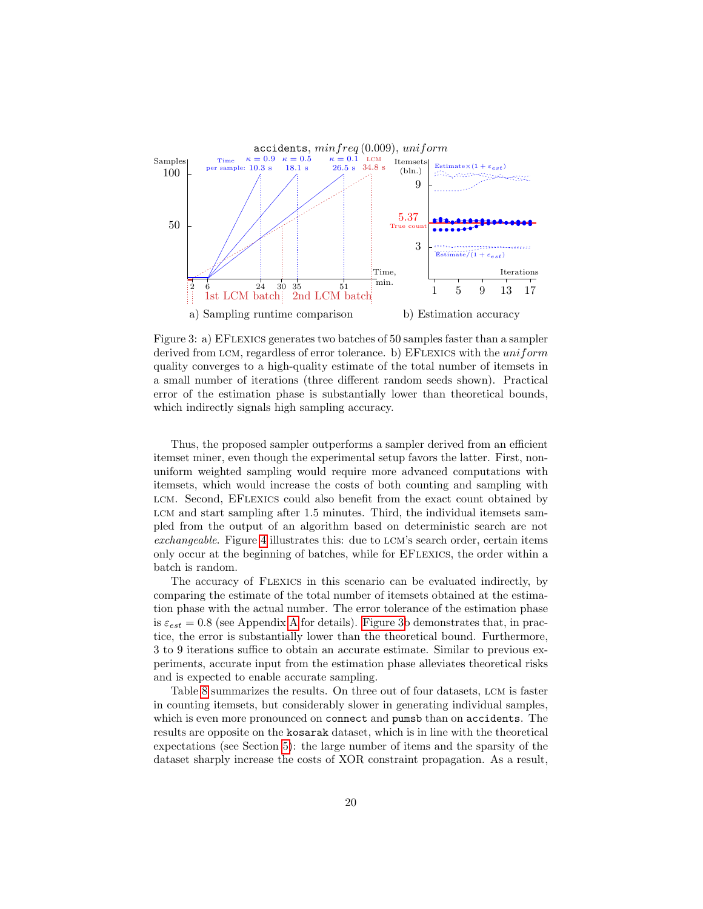

<span id="page-19-0"></span>Figure 3: a) EFlexics generates two batches of 50 samples faster than a sampler derived from LCM, regardless of error tolerance. b) EFLEXICS with the  $uniform$ quality converges to a high-quality estimate of the total number of itemsets in a small number of iterations (three different random seeds shown). Practical error of the estimation phase is substantially lower than theoretical bounds, which indirectly signals high sampling accuracy.

Thus, the proposed sampler outperforms a sampler derived from an efficient itemset miner, even though the experimental setup favors the latter. First, nonuniform weighted sampling would require more advanced computations with itemsets, which would increase the costs of both counting and sampling with LCM. Second, EFLEXICS could also benefit from the exact count obtained by LCM and start sampling after 1.5 minutes. Third, the individual itemsets sampled from the output of an algorithm based on deterministic search are not exchangeable. Figure [4](#page-20-1) illustrates this: due to lcm's search order, certain items only occur at the beginning of batches, while for EFlexics, the order within a batch is random.

The accuracy of Flexics in this scenario can be evaluated indirectly, by comparing the estimate of the total number of itemsets obtained at the estimation phase with the actual number. The error tolerance of the estimation phase is  $\varepsilon_{est} = 0.8$  (see [A](#page-28-0)ppendix A for details). [Figure 3b](#page-19-0) demonstrates that, in practice, the error is substantially lower than the theoretical bound. Furthermore, 3 to 9 iterations suffice to obtain an accurate estimate. Similar to previous experiments, accurate input from the estimation phase alleviates theoretical risks and is expected to enable accurate sampling.

Table [8](#page-20-0) summarizes the results. On three out of four datasets, lcm is faster in counting itemsets, but considerably slower in generating individual samples, which is even more pronounced on connect and pumsb than on accidents. The results are opposite on the kosarak dataset, which is in line with the theoretical expectations (see Section [5\)](#page-8-0): the large number of items and the sparsity of the dataset sharply increase the costs of XOR constraint propagation. As a result,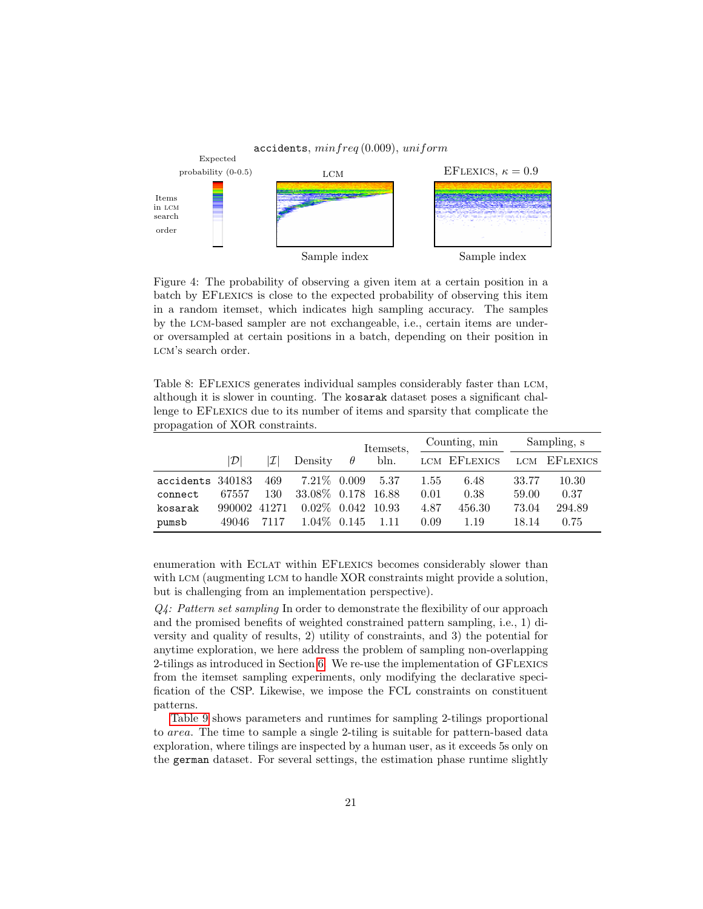

<span id="page-20-1"></span>Figure 4: The probability of observing a given item at a certain position in a batch by EFlexics is close to the expected probability of observing this item in a random itemset, which indicates high sampling accuracy. The samples by the lcm-based sampler are not exchangeable, i.e., certain items are underor oversampled at certain positions in a batch, depending on their position in LCM's search order.

<span id="page-20-0"></span>Table 8: EFLEXICS generates individual samples considerably faster than LCM, although it is slower in counting. The kosarak dataset poses a significant challenge to EFlexics due to its number of items and sparsity that complicate the propagation of XOR constraints.

|                  |               |                 |                      |          | Itemsets, |      | Counting, min |       | Sampling, s  |
|------------------|---------------|-----------------|----------------------|----------|-----------|------|---------------|-------|--------------|
|                  | $\mathcal{D}$ | $ \mathcal{I} $ | Density              | $\theta$ | bln.      |      | LCM EFLEXICS  |       | LCM EFLEXICS |
| accidents 340183 |               | 469             | $7.21\%$ 0.009       |          | 5.37      | 1.55 | 6.48          | 33.77 | 10.30        |
| connect          | 67557         | 130             | 33.08\% 0.178 16.88  |          |           | 0.01 | 0.38          | 59.00 | 0.37         |
| kosarak          | 990002 41271  |                 | $0.02\%$ 0.042 10.93 |          |           | 4.87 | 456.30        | 73.04 | 294.89       |
| pumsb            | 49046         | 7117            | $1.04\%$ 0.145       |          | 1.11      | 0.09 | 1.19          | 18.14 | 0.75         |

enumeration with Eclat within EFlexics becomes considerably slower than with LCM (augmenting LCM to handle XOR constraints might provide a solution, but is challenging from an implementation perspective).

 $Q_{\mathcal{A}}$ : Pattern set sampling In order to demonstrate the flexibility of our approach and the promised benefits of weighted constrained pattern sampling, i.e., 1) diversity and quality of results, 2) utility of constraints, and 3) the potential for anytime exploration, we here address the problem of sampling non-overlapping 2-tilings as introduced in Section [6.](#page-12-0) We re-use the implementation of GFLEXICS from the itemset sampling experiments, only modifying the declarative specification of the CSP. Likewise, we impose the FCL constraints on constituent patterns.

[Table 9](#page-21-1) shows parameters and runtimes for sampling 2-tilings proportional to area. The time to sample a single 2-tiling is suitable for pattern-based data exploration, where tilings are inspected by a human user, as it exceeds 5s only on the german dataset. For several settings, the estimation phase runtime slightly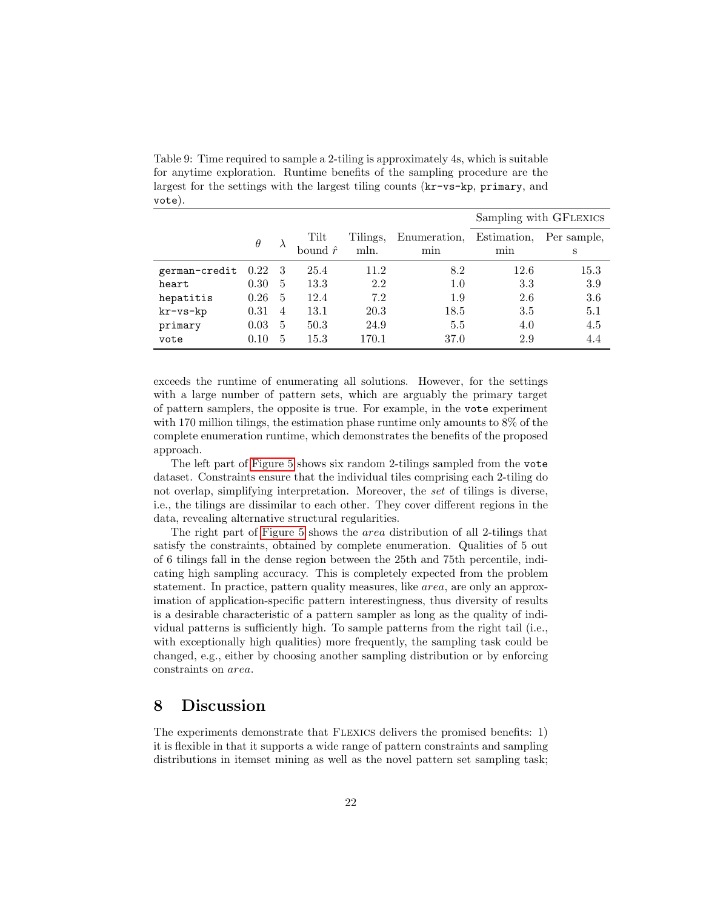<span id="page-21-1"></span>Table 9: Time required to sample a 2-tiling is approximately 4s, which is suitable for anytime exploration. Runtime benefits of the sampling procedure are the largest for the settings with the largest tiling counts (kr-vs-kp, primary, and vote).

|               |          |                |                 |          |              |             | Sampling with GFLEXICS |
|---------------|----------|----------------|-----------------|----------|--------------|-------------|------------------------|
|               | $\theta$ |                | Tilt            | Tilings, | Enumeration, | Estimation. | Per sample,            |
|               |          |                | bound $\hat{r}$ | mln.     | min          | min         | S                      |
| german-credit | 0.22     | - 3            | 25.4            | 11.2     | 8.2          | 12.6        | 15.3                   |
| heart         | 0.30     | 5              | 13.3            | 2.2      | 1.0          | 3.3         | 3.9                    |
| hepatitis     | 0.26     | 5              | 12.4            | 7.2      | 1.9          | 2.6         | 3.6                    |
| kr-vs-kp      | 0.31     | $\overline{4}$ | 13.1            | 20.3     | 18.5         | 3.5         | 5.1                    |
| primary       | 0.03     | 5              | 50.3            | 24.9     | 5.5          | 4.0         | 4.5                    |
| vote          | 0.10     | 5              | 15.3            | 170.1    | 37.0         | 2.9         | 4.4                    |

exceeds the runtime of enumerating all solutions. However, for the settings with a large number of pattern sets, which are arguably the primary target of pattern samplers, the opposite is true. For example, in the vote experiment with 170 million tilings, the estimation phase runtime only amounts to  $8\%$  of the complete enumeration runtime, which demonstrates the benefits of the proposed approach.

The left part of [Figure 5](#page-22-0) shows six random 2-tilings sampled from the vote dataset. Constraints ensure that the individual tiles comprising each 2-tiling do not overlap, simplifying interpretation. Moreover, the set of tilings is diverse, i.e., the tilings are dissimilar to each other. They cover different regions in the data, revealing alternative structural regularities.

The right part of [Figure 5](#page-22-0) shows the area distribution of all 2-tilings that satisfy the constraints, obtained by complete enumeration. Qualities of 5 out of 6 tilings fall in the dense region between the 25th and 75th percentile, indicating high sampling accuracy. This is completely expected from the problem statement. In practice, pattern quality measures, like area, are only an approximation of application-specific pattern interestingness, thus diversity of results is a desirable characteristic of a pattern sampler as long as the quality of individual patterns is sufficiently high. To sample patterns from the right tail (i.e., with exceptionally high qualities) more frequently, the sampling task could be changed, e.g., either by choosing another sampling distribution or by enforcing constraints on area.

### <span id="page-21-0"></span>8 Discussion

The experiments demonstrate that Flexics delivers the promised benefits: 1) it is flexible in that it supports a wide range of pattern constraints and sampling distributions in itemset mining as well as the novel pattern set sampling task;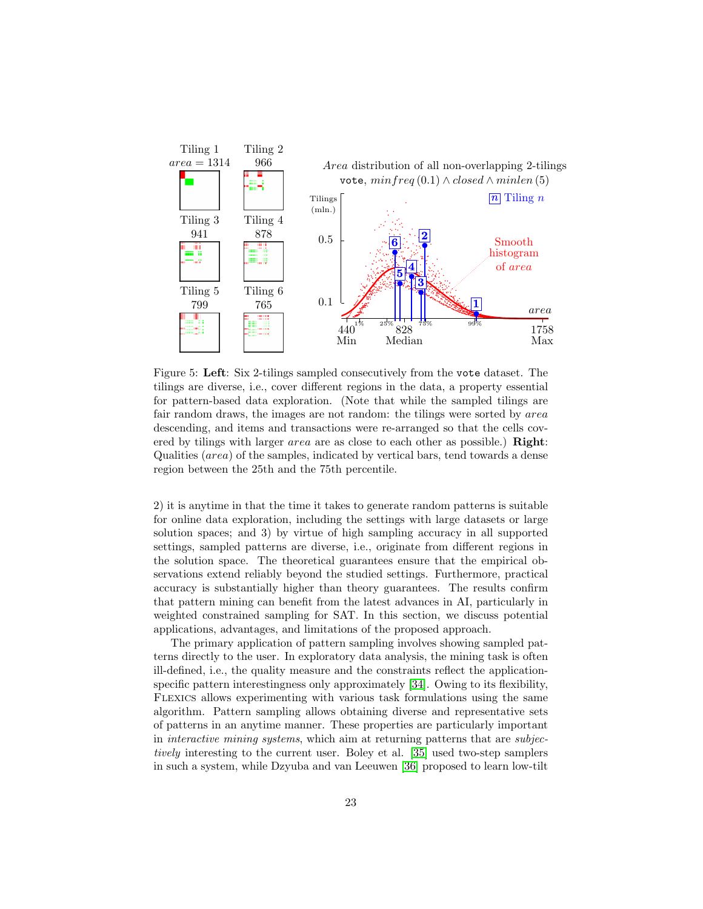

<span id="page-22-0"></span>Figure 5: Left: Six 2-tilings sampled consecutively from the vote dataset. The tilings are diverse, i.e., cover different regions in the data, a property essential for pattern-based data exploration. (Note that while the sampled tilings are fair random draws, the images are not random: the tilings were sorted by area descending, and items and transactions were re-arranged so that the cells covered by tilings with larger *area* are as close to each other as possible.) **Right**: Qualities (area) of the samples, indicated by vertical bars, tend towards a dense region between the 25th and the 75th percentile.

2) it is anytime in that the time it takes to generate random patterns is suitable for online data exploration, including the settings with large datasets or large solution spaces; and 3) by virtue of high sampling accuracy in all supported settings, sampled patterns are diverse, i.e., originate from different regions in the solution space. The theoretical guarantees ensure that the empirical observations extend reliably beyond the studied settings. Furthermore, practical accuracy is substantially higher than theory guarantees. The results confirm that pattern mining can benefit from the latest advances in AI, particularly in weighted constrained sampling for SAT. In this section, we discuss potential applications, advantages, and limitations of the proposed approach.

The primary application of pattern sampling involves showing sampled patterns directly to the user. In exploratory data analysis, the mining task is often ill-defined, i.e., the quality measure and the constraints reflect the applicationspecific pattern interestingness only approximately [\[34\]](#page-27-7). Owing to its flexibility, Flexics allows experimenting with various task formulations using the same algorithm. Pattern sampling allows obtaining diverse and representative sets of patterns in an anytime manner. These properties are particularly important in interactive mining systems, which aim at returning patterns that are subjectively interesting to the current user. Boley et al. [\[35\]](#page-27-8) used two-step samplers in such a system, while Dzyuba and van Leeuwen [\[36\]](#page-27-9) proposed to learn low-tilt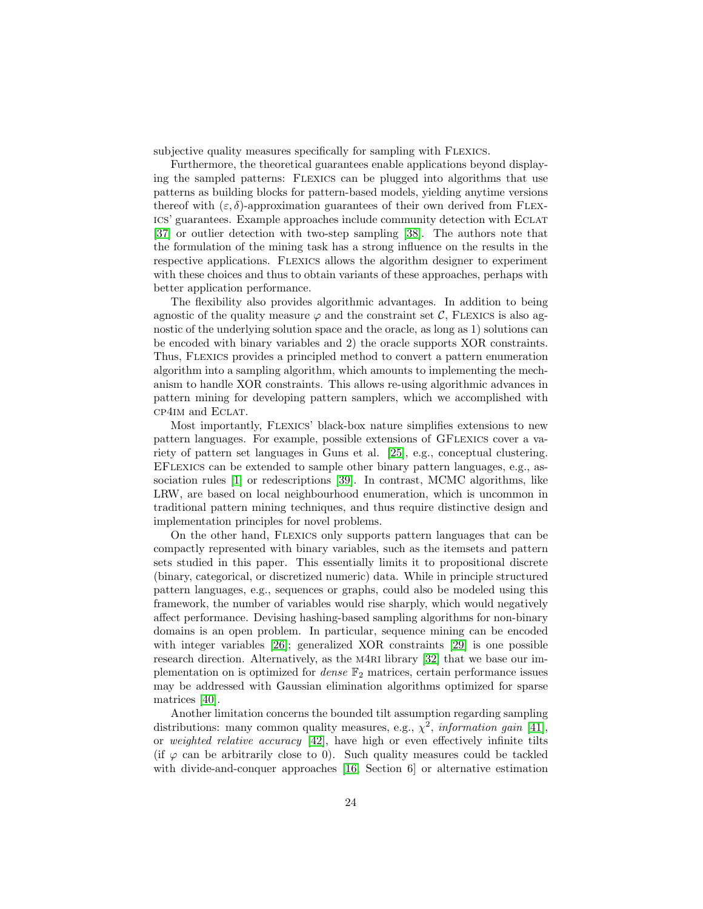subjective quality measures specifically for sampling with FLEXICS.

Furthermore, the theoretical guarantees enable applications beyond displaying the sampled patterns: Flexics can be plugged into algorithms that use patterns as building blocks for pattern-based models, yielding anytime versions thereof with  $(\varepsilon, \delta)$ -approximation guarantees of their own derived from FLEXics' guarantees. Example approaches include community detection with Eclat [\[37\]](#page-28-1) or outlier detection with two-step sampling [\[38\]](#page-28-2). The authors note that the formulation of the mining task has a strong influence on the results in the respective applications. Flexics allows the algorithm designer to experiment with these choices and thus to obtain variants of these approaches, perhaps with better application performance.

The flexibility also provides algorithmic advantages. In addition to being agnostic of the quality measure  $\varphi$  and the constraint set C, FLEXICS is also agnostic of the underlying solution space and the oracle, as long as 1) solutions can be encoded with binary variables and 2) the oracle supports XOR constraints. Thus, Flexics provides a principled method to convert a pattern enumeration algorithm into a sampling algorithm, which amounts to implementing the mechanism to handle XOR constraints. This allows re-using algorithmic advances in pattern mining for developing pattern samplers, which we accomplished with cp4im and Eclat.

Most importantly, Flexics' black-box nature simplifies extensions to new pattern languages. For example, possible extensions of GFlexics cover a variety of pattern set languages in Guns et al. [\[25\]](#page-26-9), e.g., conceptual clustering. EFlexics can be extended to sample other binary pattern languages, e.g., association rules [\[1\]](#page-24-0) or redescriptions [\[39\]](#page-28-3). In contrast, MCMC algorithms, like LRW, are based on local neighbourhood enumeration, which is uncommon in traditional pattern mining techniques, and thus require distinctive design and implementation principles for novel problems.

On the other hand, Flexics only supports pattern languages that can be compactly represented with binary variables, such as the itemsets and pattern sets studied in this paper. This essentially limits it to propositional discrete (binary, categorical, or discretized numeric) data. While in principle structured pattern languages, e.g., sequences or graphs, could also be modeled using this framework, the number of variables would rise sharply, which would negatively affect performance. Devising hashing-based sampling algorithms for non-binary domains is an open problem. In particular, sequence mining can be encoded with integer variables [\[26\]](#page-26-10); generalized XOR constraints [\[29\]](#page-27-2) is one possible research direction. Alternatively, as the M4RI library [\[32\]](#page-27-5) that we base our implementation on is optimized for *dense*  $\mathbb{F}_2$  matrices, certain performance issues may be addressed with Gaussian elimination algorithms optimized for sparse matrices [\[40\]](#page-28-4).

Another limitation concerns the bounded tilt assumption regarding sampling distributions: many common quality measures, e.g.,  $\chi^2$ , information gain [\[41\]](#page-28-5), or weighted relative accuracy [\[42\]](#page-28-6), have high or even effectively infinite tilts (if  $\varphi$  can be arbitrarily close to 0). Such quality measures could be tackled with divide-and-conquer approaches [\[16,](#page-26-0) Section 6] or alternative estimation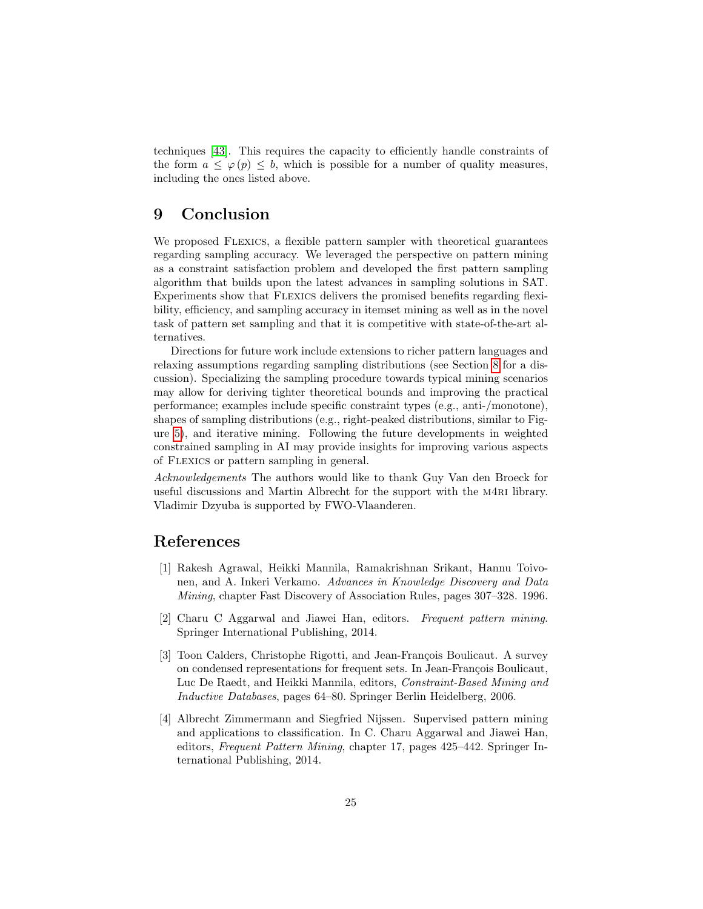techniques [\[43\]](#page-28-7). This requires the capacity to efficiently handle constraints of the form  $a \leq \varphi(p) \leq b$ , which is possible for a number of quality measures, including the ones listed above.

### <span id="page-24-4"></span>9 Conclusion

We proposed FLEXICS, a flexible pattern sampler with theoretical guarantees regarding sampling accuracy. We leveraged the perspective on pattern mining as a constraint satisfaction problem and developed the first pattern sampling algorithm that builds upon the latest advances in sampling solutions in SAT. Experiments show that Flexics delivers the promised benefits regarding flexibility, efficiency, and sampling accuracy in itemset mining as well as in the novel task of pattern set sampling and that it is competitive with state-of-the-art alternatives.

Directions for future work include extensions to richer pattern languages and relaxing assumptions regarding sampling distributions (see Section [8](#page-21-0) for a discussion). Specializing the sampling procedure towards typical mining scenarios may allow for deriving tighter theoretical bounds and improving the practical performance; examples include specific constraint types (e.g., anti-/monotone), shapes of sampling distributions (e.g., right-peaked distributions, similar to Figure [5\)](#page-22-0), and iterative mining. Following the future developments in weighted constrained sampling in AI may provide insights for improving various aspects of Flexics or pattern sampling in general.

Acknowledgements The authors would like to thank Guy Van den Broeck for useful discussions and Martin Albrecht for the support with the m4ri library. Vladimir Dzyuba is supported by FWO-Vlaanderen.

### References

- <span id="page-24-0"></span>[1] Rakesh Agrawal, Heikki Mannila, Ramakrishnan Srikant, Hannu Toivonen, and A. Inkeri Verkamo. Advances in Knowledge Discovery and Data Mining, chapter Fast Discovery of Association Rules, pages 307–328. 1996.
- <span id="page-24-1"></span>[2] Charu C Aggarwal and Jiawei Han, editors. Frequent pattern mining. Springer International Publishing, 2014.
- <span id="page-24-2"></span>[3] Toon Calders, Christophe Rigotti, and Jean-François Boulicaut. A survey on condensed representations for frequent sets. In Jean-François Boulicaut, Luc De Raedt, and Heikki Mannila, editors, Constraint-Based Mining and Inductive Databases, pages 64–80. Springer Berlin Heidelberg, 2006.
- <span id="page-24-3"></span>[4] Albrecht Zimmermann and Siegfried Nijssen. Supervised pattern mining and applications to classification. In C. Charu Aggarwal and Jiawei Han, editors, Frequent Pattern Mining, chapter 17, pages 425–442. Springer International Publishing, 2014.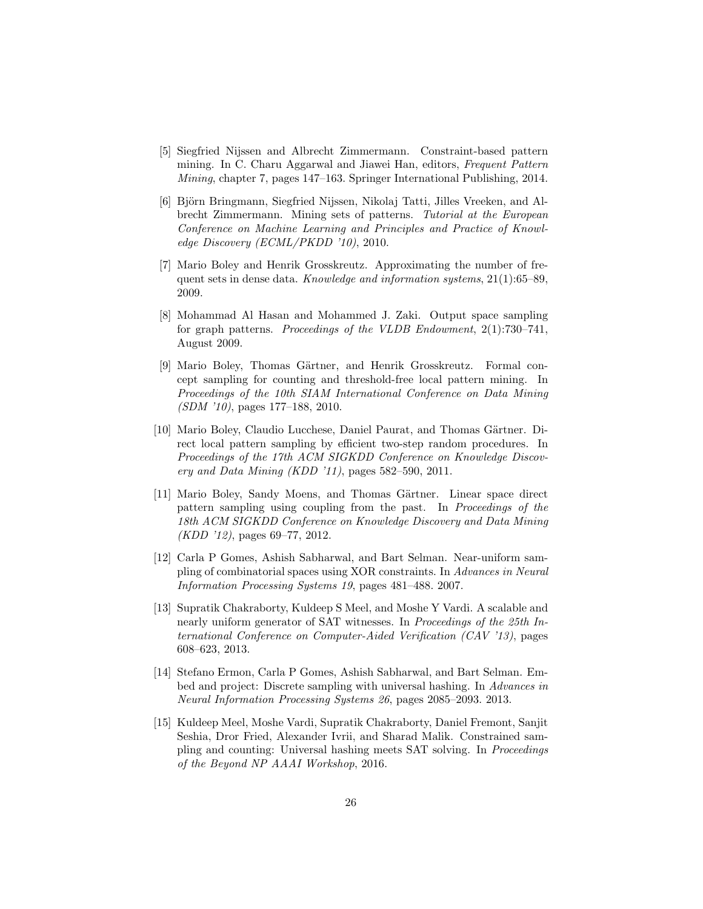- <span id="page-25-0"></span>[5] Siegfried Nijssen and Albrecht Zimmermann. Constraint-based pattern mining. In C. Charu Aggarwal and Jiawei Han, editors, Frequent Pattern Mining, chapter 7, pages 147–163. Springer International Publishing, 2014.
- <span id="page-25-1"></span>[6] Björn Bringmann, Siegfried Nijssen, Nikolaj Tatti, Jilles Vreeken, and Albrecht Zimmermann. Mining sets of patterns. Tutorial at the European Conference on Machine Learning and Principles and Practice of Knowledge Discovery (ECML/PKDD '10), 2010.
- <span id="page-25-2"></span>[7] Mario Boley and Henrik Grosskreutz. Approximating the number of frequent sets in dense data. Knowledge and information systems,  $21(1):65-89$ , 2009.
- <span id="page-25-3"></span>[8] Mohammad Al Hasan and Mohammed J. Zaki. Output space sampling for graph patterns. Proceedings of the VLDB Endowment, 2(1):730–741, August 2009.
- <span id="page-25-4"></span>[9] Mario Boley, Thomas Gärtner, and Henrik Grosskreutz. Formal concept sampling for counting and threshold-free local pattern mining. In Proceedings of the 10th SIAM International Conference on Data Mining (SDM '10), pages 177–188, 2010.
- <span id="page-25-5"></span>[10] Mario Boley, Claudio Lucchese, Daniel Paurat, and Thomas Gärtner. Direct local pattern sampling by efficient two-step random procedures. In Proceedings of the 17th ACM SIGKDD Conference on Knowledge Discovery and Data Mining (KDD '11), pages 582–590, 2011.
- <span id="page-25-6"></span>[11] Mario Boley, Sandy Moens, and Thomas Gärtner. Linear space direct pattern sampling using coupling from the past. In Proceedings of the 18th ACM SIGKDD Conference on Knowledge Discovery and Data Mining (KDD '12), pages 69–77, 2012.
- <span id="page-25-7"></span>[12] Carla P Gomes, Ashish Sabharwal, and Bart Selman. Near-uniform sampling of combinatorial spaces using XOR constraints. In Advances in Neural Information Processing Systems 19, pages 481–488. 2007.
- <span id="page-25-8"></span>[13] Supratik Chakraborty, Kuldeep S Meel, and Moshe Y Vardi. A scalable and nearly uniform generator of SAT witnesses. In Proceedings of the 25th International Conference on Computer-Aided Verification (CAV '13), pages 608–623, 2013.
- <span id="page-25-9"></span>[14] Stefano Ermon, Carla P Gomes, Ashish Sabharwal, and Bart Selman. Embed and project: Discrete sampling with universal hashing. In Advances in Neural Information Processing Systems 26, pages 2085–2093. 2013.
- <span id="page-25-10"></span>[15] Kuldeep Meel, Moshe Vardi, Supratik Chakraborty, Daniel Fremont, Sanjit Seshia, Dror Fried, Alexander Ivrii, and Sharad Malik. Constrained sampling and counting: Universal hashing meets SAT solving. In Proceedings of the Beyond NP AAAI Workshop, 2016.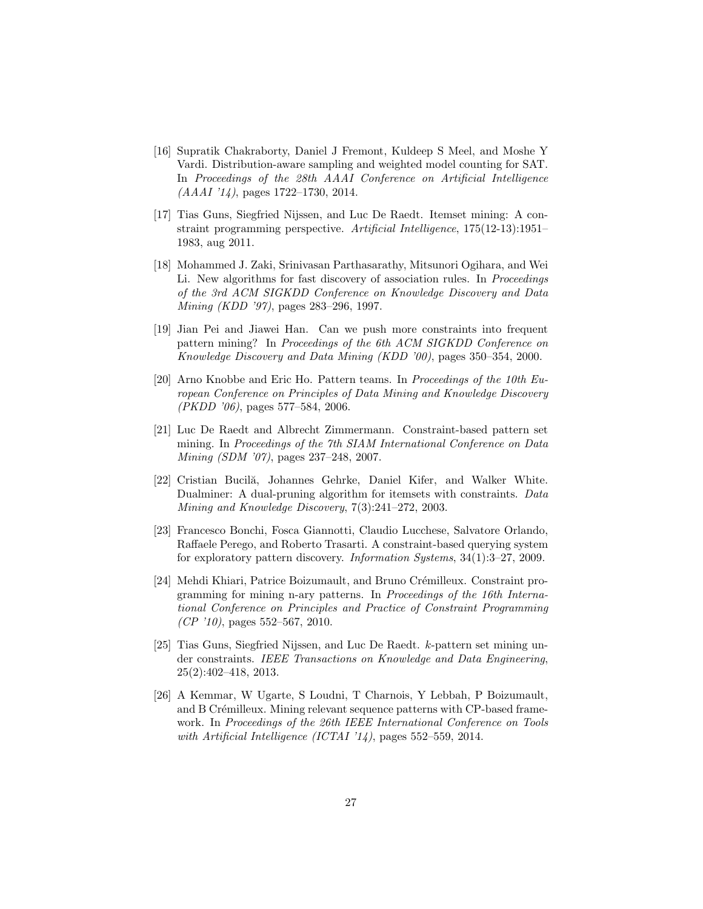- <span id="page-26-0"></span>[16] Supratik Chakraborty, Daniel J Fremont, Kuldeep S Meel, and Moshe Y Vardi. Distribution-aware sampling and weighted model counting for SAT. In Proceedings of the 28th AAAI Conference on Artificial Intelligence  $(AAAI'14)$ , pages 1722–1730, 2014.
- <span id="page-26-1"></span>[17] Tias Guns, Siegfried Nijssen, and Luc De Raedt. Itemset mining: A constraint programming perspective. Artificial Intelligence, 175(12-13):1951– 1983, aug 2011.
- <span id="page-26-2"></span>[18] Mohammed J. Zaki, Srinivasan Parthasarathy, Mitsunori Ogihara, and Wei Li. New algorithms for fast discovery of association rules. In Proceedings of the 3rd ACM SIGKDD Conference on Knowledge Discovery and Data Mining (KDD '97), pages 283–296, 1997.
- <span id="page-26-3"></span>[19] Jian Pei and Jiawei Han. Can we push more constraints into frequent pattern mining? In Proceedings of the 6th ACM SIGKDD Conference on Knowledge Discovery and Data Mining (KDD '00), pages 350–354, 2000.
- <span id="page-26-4"></span>[20] Arno Knobbe and Eric Ho. Pattern teams. In Proceedings of the 10th European Conference on Principles of Data Mining and Knowledge Discovery (PKDD '06), pages 577–584, 2006.
- <span id="page-26-5"></span>[21] Luc De Raedt and Albrecht Zimmermann. Constraint-based pattern set mining. In Proceedings of the 7th SIAM International Conference on Data Mining (SDM '07), pages 237–248, 2007.
- <span id="page-26-6"></span>[22] Cristian Bucilă, Johannes Gehrke, Daniel Kifer, and Walker White. Dualminer: A dual-pruning algorithm for itemsets with constraints. Data Mining and Knowledge Discovery, 7(3):241–272, 2003.
- <span id="page-26-7"></span>[23] Francesco Bonchi, Fosca Giannotti, Claudio Lucchese, Salvatore Orlando, Raffaele Perego, and Roberto Trasarti. A constraint-based querying system for exploratory pattern discovery. Information Systems, 34(1):3–27, 2009.
- <span id="page-26-8"></span>[24] Mehdi Khiari, Patrice Boizumault, and Bruno Crémilleux. Constraint programming for mining n-ary patterns. In Proceedings of the 16th International Conference on Principles and Practice of Constraint Programming  $(CP'10)$ , pages 552–567, 2010.
- <span id="page-26-9"></span>[25] Tias Guns, Siegfried Nijssen, and Luc De Raedt. k-pattern set mining under constraints. IEEE Transactions on Knowledge and Data Engineering, 25(2):402–418, 2013.
- <span id="page-26-10"></span>[26] A Kemmar, W Ugarte, S Loudni, T Charnois, Y Lebbah, P Boizumault, and B Crémilleux. Mining relevant sequence patterns with CP-based framework. In Proceedings of the 26th IEEE International Conference on Tools with Artificial Intelligence (ICTAI '14), pages 552–559, 2014.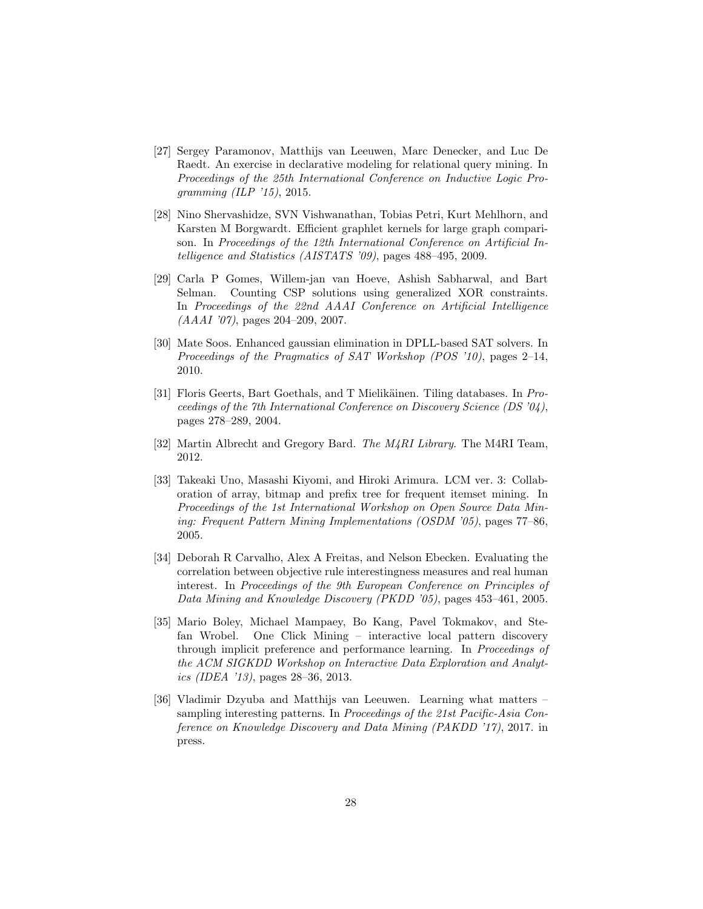- <span id="page-27-0"></span>[27] Sergey Paramonov, Matthijs van Leeuwen, Marc Denecker, and Luc De Raedt. An exercise in declarative modeling for relational query mining. In Proceedings of the 25th International Conference on Inductive Logic Programming  $(ILP 715)$ , 2015.
- <span id="page-27-1"></span>[28] Nino Shervashidze, SVN Vishwanathan, Tobias Petri, Kurt Mehlhorn, and Karsten M Borgwardt. Efficient graphlet kernels for large graph comparison. In Proceedings of the 12th International Conference on Artificial Intelligence and Statistics (AISTATS '09), pages 488–495, 2009.
- <span id="page-27-2"></span>[29] Carla P Gomes, Willem-jan van Hoeve, Ashish Sabharwal, and Bart Selman. Counting CSP solutions using generalized XOR constraints. In Proceedings of the 22nd AAAI Conference on Artificial Intelligence (AAAI '07), pages 204–209, 2007.
- <span id="page-27-3"></span>[30] Mate Soos. Enhanced gaussian elimination in DPLL-based SAT solvers. In Proceedings of the Pragmatics of SAT Workshop (POS '10), pages 2–14, 2010.
- <span id="page-27-4"></span>[31] Floris Geerts, Bart Goethals, and T Mielikäinen. Tiling databases. In Proceedings of the 7th International Conference on Discovery Science (DS '04), pages 278–289, 2004.
- <span id="page-27-5"></span>[32] Martin Albrecht and Gregory Bard. The M4RI Library. The M4RI Team, 2012.
- <span id="page-27-6"></span>[33] Takeaki Uno, Masashi Kiyomi, and Hiroki Arimura. LCM ver. 3: Collaboration of array, bitmap and prefix tree for frequent itemset mining. In Proceedings of the 1st International Workshop on Open Source Data Mining: Frequent Pattern Mining Implementations (OSDM '05), pages 77–86, 2005.
- <span id="page-27-7"></span>[34] Deborah R Carvalho, Alex A Freitas, and Nelson Ebecken. Evaluating the correlation between objective rule interestingness measures and real human interest. In Proceedings of the 9th European Conference on Principles of Data Mining and Knowledge Discovery (PKDD '05), pages 453–461, 2005.
- <span id="page-27-8"></span>[35] Mario Boley, Michael Mampaey, Bo Kang, Pavel Tokmakov, and Stefan Wrobel. One Click Mining – interactive local pattern discovery through implicit preference and performance learning. In Proceedings of the ACM SIGKDD Workshop on Interactive Data Exploration and Analytics (IDEA '13), pages 28–36, 2013.
- <span id="page-27-9"></span>[36] Vladimir Dzyuba and Matthijs van Leeuwen. Learning what matters – sampling interesting patterns. In Proceedings of the 21st Pacific-Asia Conference on Knowledge Discovery and Data Mining (PAKDD '17), 2017. in press.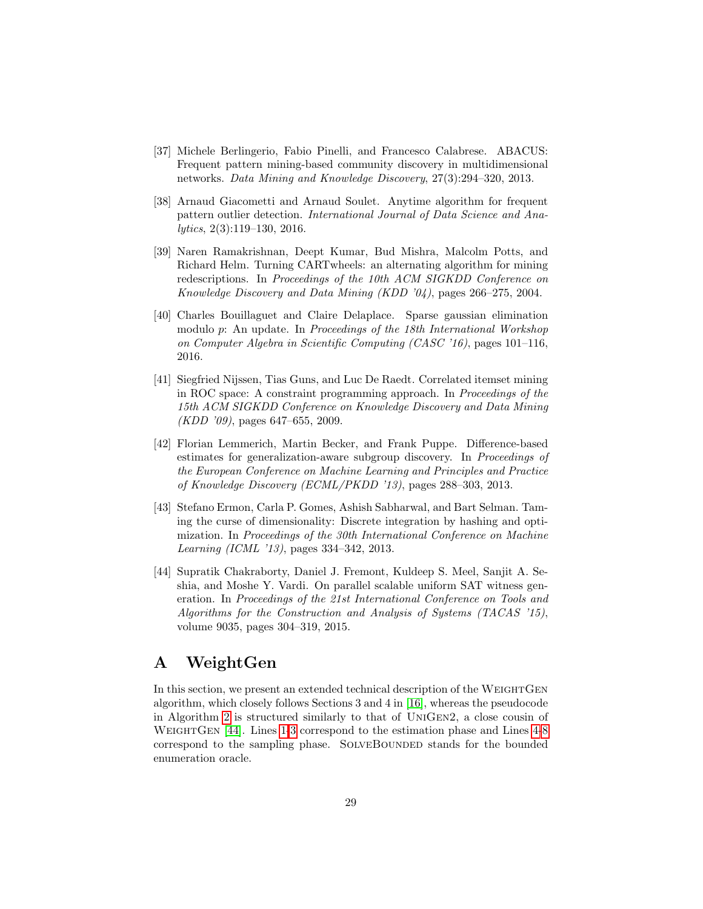- <span id="page-28-1"></span>[37] Michele Berlingerio, Fabio Pinelli, and Francesco Calabrese. ABACUS: Frequent pattern mining-based community discovery in multidimensional networks. Data Mining and Knowledge Discovery, 27(3):294–320, 2013.
- <span id="page-28-2"></span>[38] Arnaud Giacometti and Arnaud Soulet. Anytime algorithm for frequent pattern outlier detection. International Journal of Data Science and Analytics, 2(3):119–130, 2016.
- <span id="page-28-3"></span>[39] Naren Ramakrishnan, Deept Kumar, Bud Mishra, Malcolm Potts, and Richard Helm. Turning CARTwheels: an alternating algorithm for mining redescriptions. In Proceedings of the 10th ACM SIGKDD Conference on Knowledge Discovery and Data Mining (KDD '04), pages 266–275, 2004.
- <span id="page-28-4"></span>[40] Charles Bouillaguet and Claire Delaplace. Sparse gaussian elimination modulo p: An update. In Proceedings of the 18th International Workshop on Computer Algebra in Scientific Computing (CASC '16), pages 101–116, 2016.
- <span id="page-28-5"></span>[41] Siegfried Nijssen, Tias Guns, and Luc De Raedt. Correlated itemset mining in ROC space: A constraint programming approach. In Proceedings of the 15th ACM SIGKDD Conference on Knowledge Discovery and Data Mining  $(KDD'09)$ , pages 647–655, 2009.
- <span id="page-28-6"></span>[42] Florian Lemmerich, Martin Becker, and Frank Puppe. Difference-based estimates for generalization-aware subgroup discovery. In Proceedings of the European Conference on Machine Learning and Principles and Practice of Knowledge Discovery (ECML/PKDD '13), pages 288–303, 2013.
- <span id="page-28-7"></span>[43] Stefano Ermon, Carla P. Gomes, Ashish Sabharwal, and Bart Selman. Taming the curse of dimensionality: Discrete integration by hashing and optimization. In Proceedings of the 30th International Conference on Machine Learning (ICML '13), pages 334–342, 2013.
- <span id="page-28-8"></span>[44] Supratik Chakraborty, Daniel J. Fremont, Kuldeep S. Meel, Sanjit A. Seshia, and Moshe Y. Vardi. On parallel scalable uniform SAT witness generation. In Proceedings of the 21st International Conference on Tools and Algorithms for the Construction and Analysis of Systems (TACAS '15), volume 9035, pages 304–319, 2015.

## <span id="page-28-0"></span>A WeightGen

In this section, we present an extended technical description of the WEIGHTGEN algorithm, which closely follows Sections 3 and 4 in [\[16\]](#page-26-0), whereas the pseudocode in Algorithm [2](#page-30-0) is structured similarly to that of UniGen2, a close cousin of WEIGHTGEN [\[44\]](#page-28-8). Lines [1-3](#page-30-0) correspond to the estimation phase and Lines [4-8](#page-30-0) correspond to the sampling phase. SOLVEBOUNDED stands for the bounded enumeration oracle.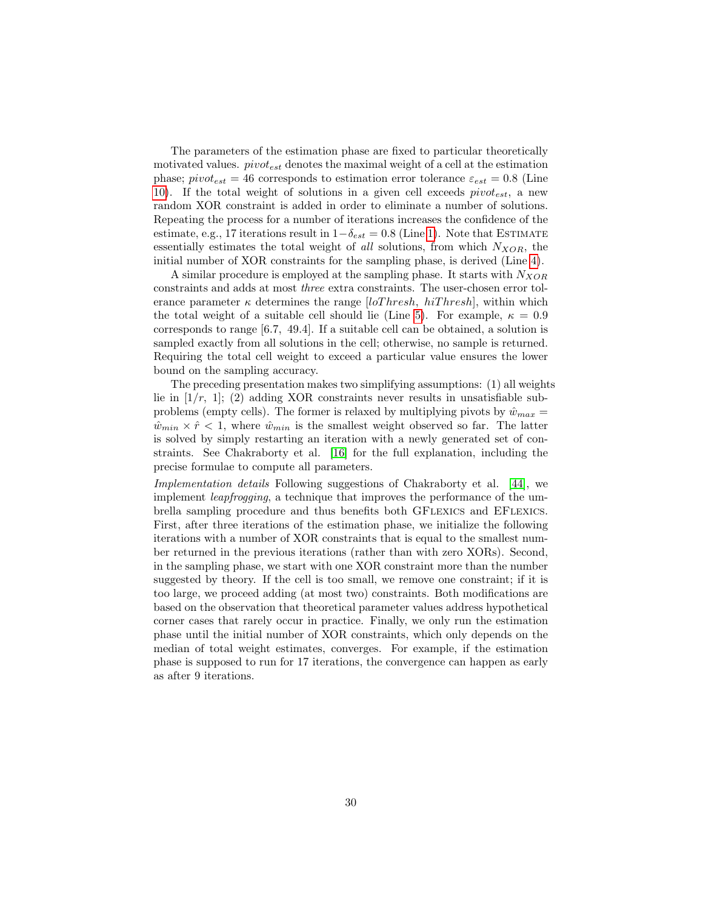The parameters of the estimation phase are fixed to particular theoretically motivated values.  $pivot_{est}$  denotes the maximal weight of a cell at the estimation phase;  $pivot_{est} = 46$  corresponds to estimation error tolerance  $\varepsilon_{est} = 0.8$  (Line [10\)](#page-30-0). If the total weight of solutions in a given cell exceeds  $pivot_{est}$ , a new random XOR constraint is added in order to eliminate a number of solutions. Repeating the process for a number of iterations increases the confidence of the estimate, e.g., 17 iterations result in  $1-\delta_{est} = 0.8$  (Line [1\)](#page-30-0). Note that ESTIMATE essentially estimates the total weight of all solutions, from which  $N_{XOR}$ , the initial number of XOR constraints for the sampling phase, is derived (Line [4\)](#page-30-0).

A similar procedure is employed at the sampling phase. It starts with  $N_{XOR}$ constraints and adds at most three extra constraints. The user-chosen error tolerance parameter  $\kappa$  determines the range [loThresh, hiThresh], within which the total weight of a suitable cell should lie (Line [5\)](#page-30-0). For example,  $\kappa = 0.9$ corresponds to range [6.7, 49.4]. If a suitable cell can be obtained, a solution is sampled exactly from all solutions in the cell; otherwise, no sample is returned. Requiring the total cell weight to exceed a particular value ensures the lower bound on the sampling accuracy.

The preceding presentation makes two simplifying assumptions: (1) all weights lie in  $[1/r, 1]$ ; (2) adding XOR constraints never results in unsatisfiable subproblems (empty cells). The former is relaxed by multiplying pivots by  $\hat{w}_{max} =$  $\hat{w}_{min} \times \hat{r} < 1$ , where  $\hat{w}_{min}$  is the smallest weight observed so far. The latter is solved by simply restarting an iteration with a newly generated set of constraints. See Chakraborty et al. [\[16\]](#page-26-0) for the full explanation, including the precise formulae to compute all parameters.

Implementation details Following suggestions of Chakraborty et al. [\[44\]](#page-28-8), we implement leapfrogging, a technique that improves the performance of the umbrella sampling procedure and thus benefits both GFlexics and EFlexics. First, after three iterations of the estimation phase, we initialize the following iterations with a number of XOR constraints that is equal to the smallest number returned in the previous iterations (rather than with zero XORs). Second, in the sampling phase, we start with one XOR constraint more than the number suggested by theory. If the cell is too small, we remove one constraint; if it is too large, we proceed adding (at most two) constraints. Both modifications are based on the observation that theoretical parameter values address hypothetical corner cases that rarely occur in practice. Finally, we only run the estimation phase until the initial number of XOR constraints, which only depends on the median of total weight estimates, converges. For example, if the estimation phase is supposed to run for 17 iterations, the convergence can happen as early as after 9 iterations.